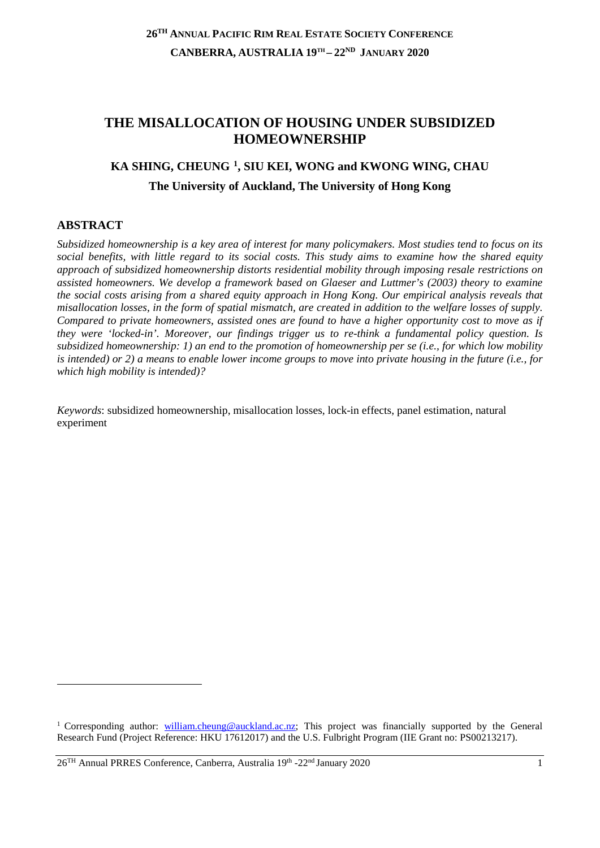# **THE MISALLOCATION OF HOUSING UNDER SUBSIDIZED HOMEOWNERSHIP**

# **KA SHING, CHEUNG [1,](#page-0-0) SIU KEI, WONG and KWONG WING, CHAU The University of Auckland, The University of Hong Kong**

## **ABSTRACT**

<u>.</u>

*Subsidized homeownership is a key area of interest for many policymakers. Most studies tend to focus on its social benefits, with little regard to its social costs. This study aims to examine how the shared equity approach of subsidized homeownership distorts residential mobility through imposing resale restrictions on assisted homeowners. We develop a framework based on Glaeser and Luttmer's (2003) theory to examine the social costs arising from a shared equity approach in Hong Kong. Our empirical analysis reveals that misallocation losses, in the form of spatial mismatch, are created in addition to the welfare losses of supply. Compared to private homeowners, assisted ones are found to have a higher opportunity cost to move as if they were 'locked-in'. Moreover, our findings trigger us to re-think a fundamental policy question. Is subsidized homeownership: 1) an end to the promotion of homeownership per se (i.e., for which low mobility is intended) or 2) a means to enable lower income groups to move into private housing in the future (i.e., for which high mobility is intended)?*

*Keywords*: subsidized homeownership, misallocation losses, lock-in effects, panel estimation, natural experiment

<span id="page-0-0"></span><sup>1</sup> Corresponding author: [william.cheung@auckland.ac.nz;](mailto:william.cheung@auckland.ac.nz) This project was financially supported by the General Research Fund (Project Reference: HKU 17612017) and the U.S. Fulbright Program (IIE Grant no: PS00213217).

<sup>26</sup>TH Annual PRRES Conference, Canberra, Australia 19th -22nd January 2020 1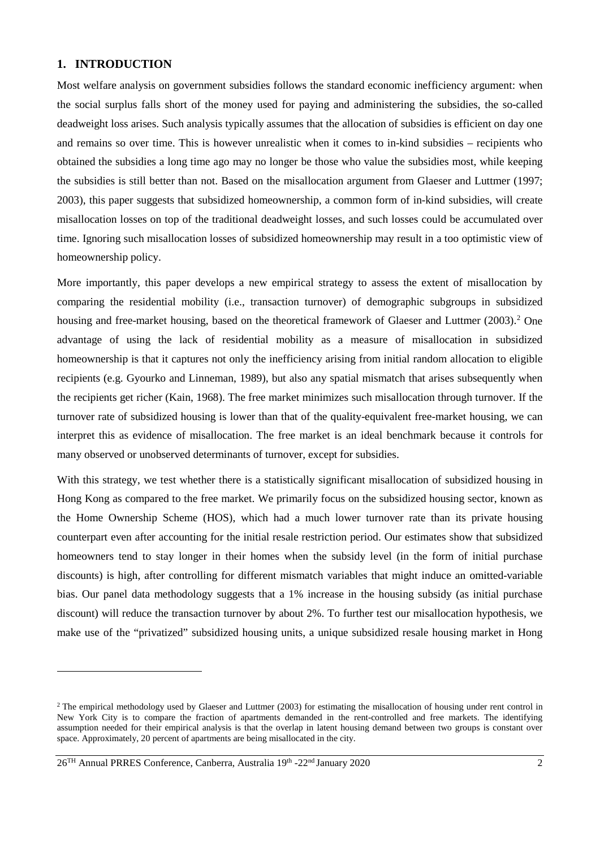### **1. INTRODUCTION**

Most welfare analysis on government subsidies follows the standard economic inefficiency argument: when the social surplus falls short of the money used for paying and administering the subsidies, the so-called deadweight loss arises. Such analysis typically assumes that the allocation of subsidies is efficient on day one and remains so over time. This is however unrealistic when it comes to in-kind subsidies – recipients who obtained the subsidies a long time ago may no longer be those who value the subsidies most, while keeping the subsidies is still better than not. Based on the misallocation argument from Glaeser and Luttmer (1997; 2003), this paper suggests that subsidized homeownership, a common form of in-kind subsidies, will create misallocation losses on top of the traditional deadweight losses, and such losses could be accumulated over time. Ignoring such misallocation losses of subsidized homeownership may result in a too optimistic view of homeownership policy.

More importantly, this paper develops a new empirical strategy to assess the extent of misallocation by comparing the residential mobility (i.e., transaction turnover) of demographic subgroups in subsidized housing and free-market housing, based on the theoretical framework of Glaeser and Luttmer ([2](#page-1-0)003).<sup>2</sup> One advantage of using the lack of residential mobility as a measure of misallocation in subsidized homeownership is that it captures not only the inefficiency arising from initial random allocation to eligible recipients (e.g. Gyourko and Linneman, 1989), but also any spatial mismatch that arises subsequently when the recipients get richer (Kain, 1968). The free market minimizes such misallocation through turnover. If the turnover rate of subsidized housing is lower than that of the quality-equivalent free-market housing, we can interpret this as evidence of misallocation. The free market is an ideal benchmark because it controls for many observed or unobserved determinants of turnover, except for subsidies.

With this strategy, we test whether there is a statistically significant misallocation of subsidized housing in Hong Kong as compared to the free market. We primarily focus on the subsidized housing sector, known as the Home Ownership Scheme (HOS), which had a much lower turnover rate than its private housing counterpart even after accounting for the initial resale restriction period. Our estimates show that subsidized homeowners tend to stay longer in their homes when the subsidy level (in the form of initial purchase discounts) is high, after controlling for different mismatch variables that might induce an omitted-variable bias. Our panel data methodology suggests that a 1% increase in the housing subsidy (as initial purchase discount) will reduce the transaction turnover by about 2%. To further test our misallocation hypothesis, we make use of the "privatized" subsidized housing units, a unique subsidized resale housing market in Hong

<span id="page-1-0"></span> $2$  The empirical methodology used by Glaeser and Luttmer (2003) for estimating the misallocation of housing under rent control in New York City is to compare the fraction of apartments demanded in the rent-controlled and free markets. The identifying assumption needed for their empirical analysis is that the overlap in latent housing demand between two groups is constant over space. Approximately, 20 percent of apartments are being misallocated in the city.

<sup>26</sup>TH Annual PRRES Conference, Canberra, Australia 19th -22nd January 2020 2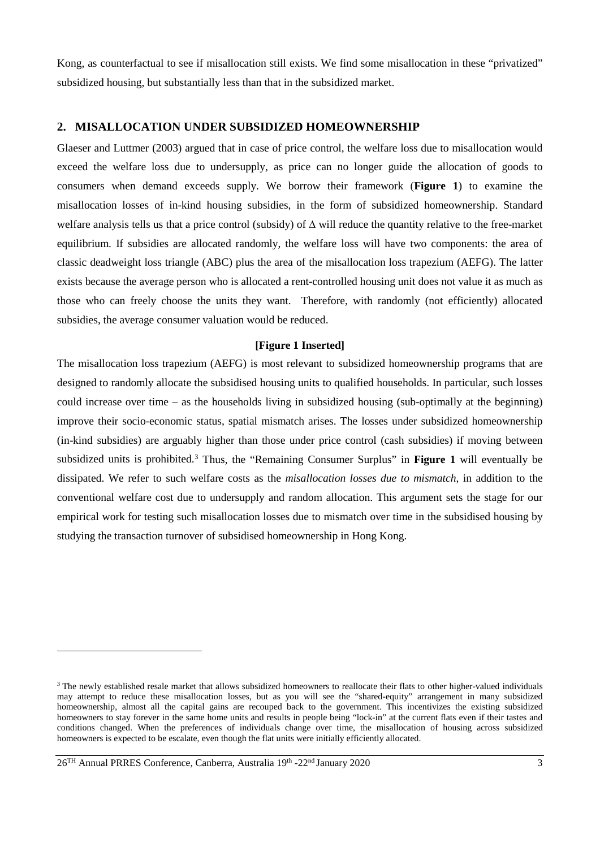Kong, as counterfactual to see if misallocation still exists. We find some misallocation in these "privatized" subsidized housing, but substantially less than that in the subsidized market.

#### **2. MISALLOCATION UNDER SUBSIDIZED HOMEOWNERSHIP**

Glaeser and Luttmer (2003) argued that in case of price control, the welfare loss due to misallocation would exceed the welfare loss due to undersupply, as price can no longer guide the allocation of goods to consumers when demand exceeds supply. We borrow their framework (**Figure 1**) to examine the misallocation losses of in-kind housing subsidies, in the form of subsidized homeownership. Standard welfare analysis tells us that a price control (subsidy) of ∆ will reduce the quantity relative to the free-market equilibrium. If subsidies are allocated randomly, the welfare loss will have two components: the area of classic deadweight loss triangle (ABC) plus the area of the misallocation loss trapezium (AEFG). The latter exists because the average person who is allocated a rent-controlled housing unit does not value it as much as those who can freely choose the units they want. Therefore, with randomly (not efficiently) allocated subsidies, the average consumer valuation would be reduced.

#### **[Figure 1 Inserted]**

The misallocation loss trapezium (AEFG) is most relevant to subsidized homeownership programs that are designed to randomly allocate the subsidised housing units to qualified households. In particular, such losses could increase over time – as the households living in subsidized housing (sub-optimally at the beginning) improve their socio-economic status, spatial mismatch arises. The losses under subsidized homeownership (in-kind subsidies) are arguably higher than those under price control (cash subsidies) if moving between subsidized units is prohibited.[3](#page-2-0) Thus, the "Remaining Consumer Surplus" in **Figure 1** will eventually be dissipated. We refer to such welfare costs as the *misallocation losses due to mismatch*, in addition to the conventional welfare cost due to undersupply and random allocation. This argument sets the stage for our empirical work for testing such misallocation losses due to mismatch over time in the subsidised housing by studying the transaction turnover of subsidised homeownership in Hong Kong.

<span id="page-2-0"></span><sup>&</sup>lt;sup>3</sup> The newly established resale market that allows subsidized homeowners to reallocate their flats to other higher-valued individuals may attempt to reduce these misallocation losses, but as you will see the "shared-equity" arrangement in many subsidized homeownership, almost all the capital gains are recouped back to the government. This incentivizes the existing subsidized homeowners to stay forever in the same home units and results in people being "lock-in" at the current flats even if their tastes and conditions changed. When the preferences of individuals change over time, the misallocation of housing across subsidized homeowners is expected to be escalate, even though the flat units were initially efficiently allocated.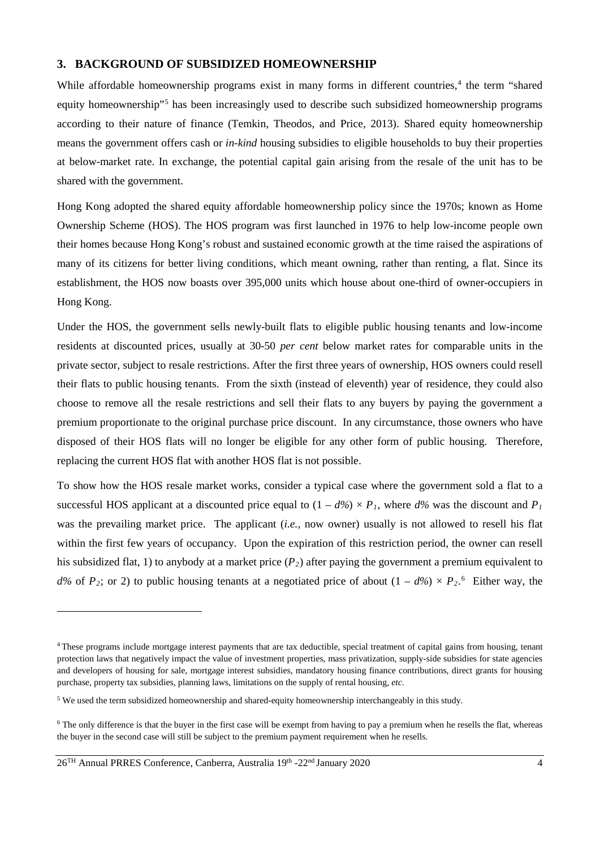#### **3. BACKGROUND OF SUBSIDIZED HOMEOWNERSHIP**

While affordable homeownership programs exist in many forms in different countries,<sup>[4](#page-3-0)</sup> the term "shared" equity homeownership<sup>"[5](#page-3-1)</sup> has been increasingly used to describe such subsidized homeownership programs according to their nature of finance (Temkin, Theodos, and Price, 2013). Shared equity homeownership means the government offers cash or *in-kind* housing subsidies to eligible households to buy their properties at below-market rate. In exchange, the potential capital gain arising from the resale of the unit has to be shared with the government.

Hong Kong adopted the shared equity affordable homeownership policy since the 1970s; known as Home Ownership Scheme (HOS). The HOS program was first launched in 1976 to help low-income people own their homes because Hong Kong's robust and sustained economic growth at the time raised the aspirations of many of its citizens for better living conditions, which meant owning, rather than renting, a flat. Since its establishment, the HOS now boasts over 395,000 units which house about one-third of owner-occupiers in Hong Kong.

Under the HOS, the government sells newly-built flats to eligible public housing tenants and low-income residents at discounted prices, usually at 30-50 *per cent* below market rates for comparable units in the private sector, subject to resale restrictions. After the first three years of ownership, HOS owners could resell their flats to public housing tenants. From the sixth (instead of eleventh) year of residence, they could also choose to remove all the resale restrictions and sell their flats to any buyers by paying the government a premium proportionate to the original purchase price discount. In any circumstance, those owners who have disposed of their HOS flats will no longer be eligible for any other form of public housing. Therefore, replacing the current HOS flat with another HOS flat is not possible.

To show how the HOS resale market works, consider a typical case where the government sold a flat to a successful HOS applicant at a discounted price equal to  $(1 - d\%) \times P_1$ , where  $d\%$  was the discount and  $P_1$ was the prevailing market price. The applicant (*i.e.,* now owner) usually is not allowed to resell his flat within the first few years of occupancy. Upon the expiration of this restriction period, the owner can resell his subsidized flat, 1) to anybody at a market price (*P2*) after paying the government a premium equivalent to  $d\%$  of  $P_2$ ; or 2) to public housing tenants at a negotiated price of about  $(1 - d\%) \times P_2$ <sup>[6](#page-3-2)</sup>. Either way, the

<span id="page-3-0"></span><sup>4</sup> These programs include mortgage interest payments that are tax deductible, special treatment of capital gains from housing, tenant protection laws that negatively impact the value of investment properties, mass privatization, supply-side subsidies for state agencies and developers of housing for sale, mortgage interest subsidies, mandatory housing finance contributions, direct grants for housing purchase, property tax subsidies, planning laws, limitations on the supply of rental housing, *etc*.

<span id="page-3-1"></span><sup>5</sup> We used the term subsidized homeownership and shared-equity homeownership interchangeably in this study.

<span id="page-3-2"></span><sup>&</sup>lt;sup>6</sup> The only difference is that the buyer in the first case will be exempt from having to pay a premium when he resells the flat, whereas the buyer in the second case will still be subject to the premium payment requirement when he resells.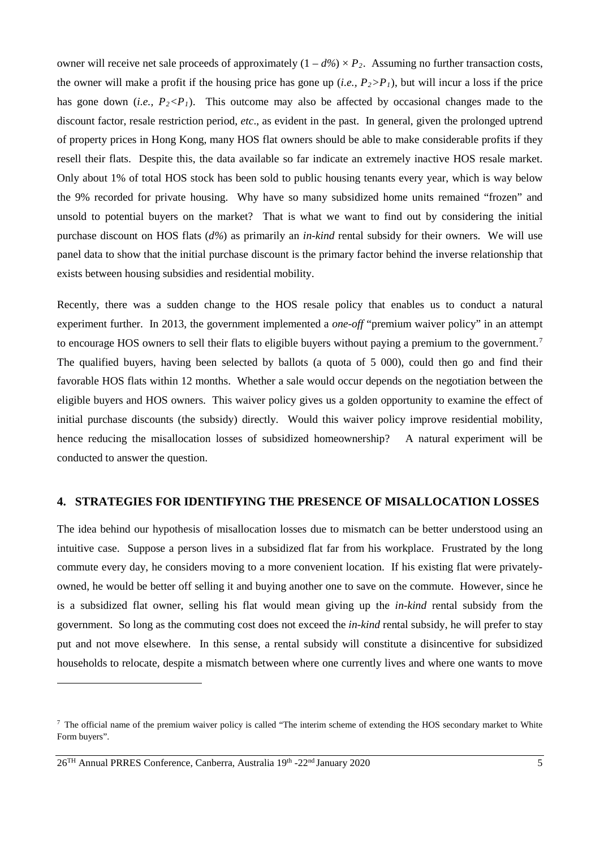owner will receive net sale proceeds of approximately  $(1 - d\%) \times P_2$ . Assuming no further transaction costs, the owner will make a profit if the housing price has gone up  $(i.e., P_2 > P_1)$ , but will incur a loss if the price has gone down (*i.e.*,  $P_2 < P_1$ ). This outcome may also be affected by occasional changes made to the discount factor, resale restriction period, *etc*., as evident in the past. In general, given the prolonged uptrend of property prices in Hong Kong, many HOS flat owners should be able to make considerable profits if they resell their flats. Despite this, the data available so far indicate an extremely inactive HOS resale market. Only about 1% of total HOS stock has been sold to public housing tenants every year, which is way below the 9% recorded for private housing. Why have so many subsidized home units remained "frozen" and unsold to potential buyers on the market? That is what we want to find out by considering the initial purchase discount on HOS flats (*d%*) as primarily an *in-kind* rental subsidy for their owners. We will use panel data to show that the initial purchase discount is the primary factor behind the inverse relationship that exists between housing subsidies and residential mobility.

Recently, there was a sudden change to the HOS resale policy that enables us to conduct a natural experiment further. In 2013, the government implemented a *one-off* "premium waiver policy" in an attempt to encourage HOS owners to sell their flats to eligible buyers without paying a premium to the government.<sup>[7](#page-4-0)</sup> The qualified buyers, having been selected by ballots (a quota of 5 000), could then go and find their favorable HOS flats within 12 months. Whether a sale would occur depends on the negotiation between the eligible buyers and HOS owners. This waiver policy gives us a golden opportunity to examine the effect of initial purchase discounts (the subsidy) directly. Would this waiver policy improve residential mobility, hence reducing the misallocation losses of subsidized homeownership? A natural experiment will be conducted to answer the question.

## **4. STRATEGIES FOR IDENTIFYING THE PRESENCE OF MISALLOCATION LOSSES**

The idea behind our hypothesis of misallocation losses due to mismatch can be better understood using an intuitive case. Suppose a person lives in a subsidized flat far from his workplace. Frustrated by the long commute every day, he considers moving to a more convenient location. If his existing flat were privatelyowned, he would be better off selling it and buying another one to save on the commute. However, since he is a subsidized flat owner, selling his flat would mean giving up the *in-kind* rental subsidy from the government. So long as the commuting cost does not exceed the *in-kind* rental subsidy, he will prefer to stay put and not move elsewhere. In this sense, a rental subsidy will constitute a disincentive for subsidized households to relocate, despite a mismatch between where one currently lives and where one wants to move

<span id="page-4-0"></span> $7$  The official name of the premium waiver policy is called "The interim scheme of extending the HOS secondary market to White Form buyers".

 $26<sup>TH</sup>$  Annual PRRES Conference, Canberra, Australia 19<sup>th</sup> -22<sup>nd</sup> January 2020 5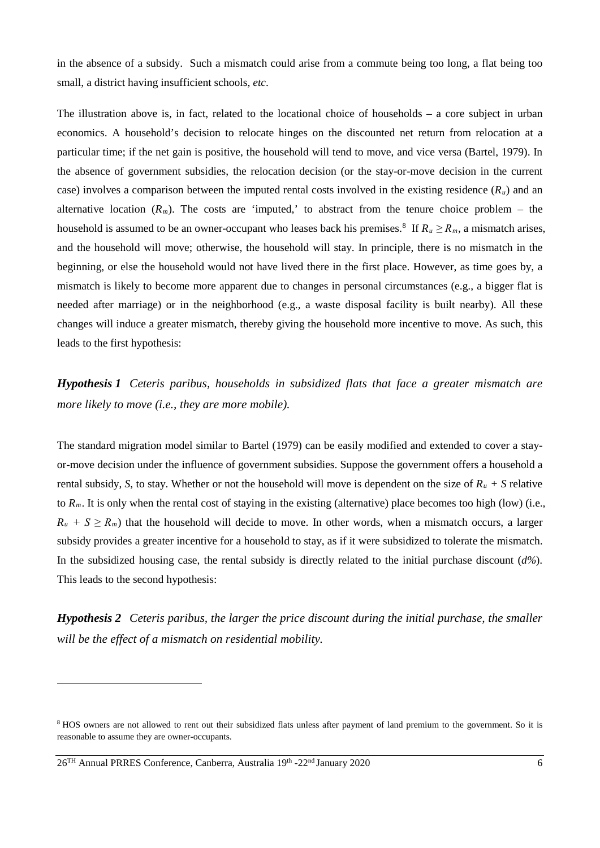in the absence of a subsidy. Such a mismatch could arise from a commute being too long, a flat being too small, a district having insufficient schools, *etc*.

The illustration above is, in fact, related to the locational choice of households – a core subject in urban economics. A household's decision to relocate hinges on the discounted net return from relocation at a particular time; if the net gain is positive, the household will tend to move, and vice versa (Bartel, 1979). In the absence of government subsidies, the relocation decision (or the stay-or-move decision in the current case) involves a comparison between the imputed rental costs involved in the existing residence (*Ru*) and an alternative location  $(R_m)$ . The costs are 'imputed,' to abstract from the tenure choice problem – the household is assumed to be an owner-occupant who leases back his premises.<sup>8</sup> If  $R_u \ge R_m$ , a mismatch arises, and the household will move; otherwise, the household will stay. In principle, there is no mismatch in the beginning, or else the household would not have lived there in the first place. However, as time goes by, a mismatch is likely to become more apparent due to changes in personal circumstances (e.g., a bigger flat is needed after marriage) or in the neighborhood (e.g., a waste disposal facility is built nearby). All these changes will induce a greater mismatch, thereby giving the household more incentive to move. As such, this leads to the first hypothesis:

*Hypothesis 1 Ceteris paribus, households in subsidized flats that face a greater mismatch are more likely to move (i.e., they are more mobile).*

The standard migration model similar to Bartel (1979) can be easily modified and extended to cover a stayor-move decision under the influence of government subsidies. Suppose the government offers a household a rental subsidy, *S*, to stay. Whether or not the household will move is dependent on the size of  $R_u + S$  relative to *Rm*. It is only when the rental cost of staying in the existing (alternative) place becomes too high (low) (i.e.*,*  $R_u + S \ge R_m$ ) that the household will decide to move. In other words, when a mismatch occurs, a larger subsidy provides a greater incentive for a household to stay, as if it were subsidized to tolerate the mismatch. In the subsidized housing case, the rental subsidy is directly related to the initial purchase discount (*d%*). This leads to the second hypothesis:

*Hypothesis 2 Ceteris paribus, the larger the price discount during the initial purchase, the smaller will be the effect of a mismatch on residential mobility.*

26TH Annual PRRES Conference, Canberra, Australia 19th -22nd January 2020 6

<span id="page-5-0"></span><sup>8</sup> HOS owners are not allowed to rent out their subsidized flats unless after payment of land premium to the government. So it is reasonable to assume they are owner-occupants.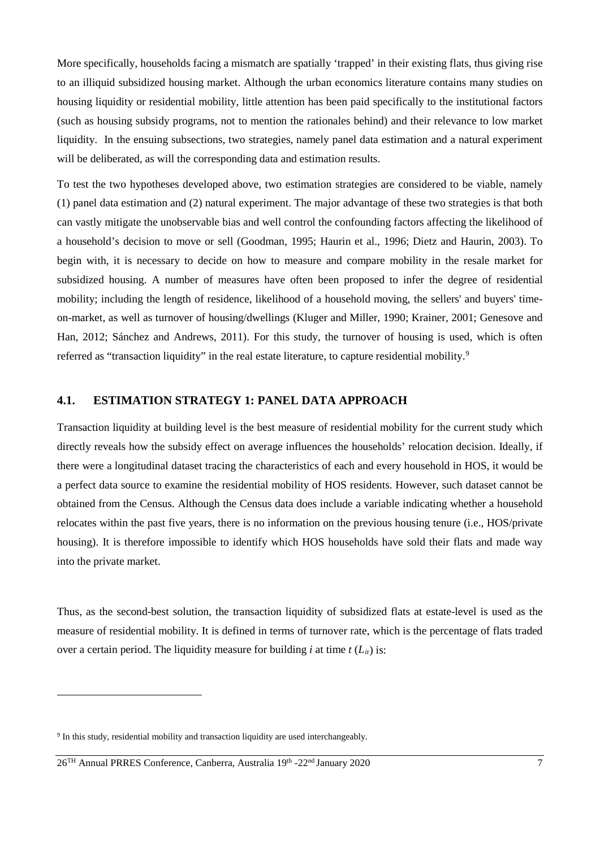More specifically, households facing a mismatch are spatially 'trapped' in their existing flats, thus giving rise to an illiquid subsidized housing market. Although the urban economics literature contains many studies on housing liquidity or residential mobility, little attention has been paid specifically to the institutional factors (such as housing subsidy programs, not to mention the rationales behind) and their relevance to low market liquidity. In the ensuing subsections, two strategies, namely panel data estimation and a natural experiment will be deliberated, as will the corresponding data and estimation results.

To test the two hypotheses developed above, two estimation strategies are considered to be viable, namely (1) panel data estimation and (2) natural experiment. The major advantage of these two strategies is that both can vastly mitigate the unobservable bias and well control the confounding factors affecting the likelihood of a household's decision to move or sell (Goodman, 1995; Haurin et al., 1996; Dietz and Haurin, 2003). To begin with, it is necessary to decide on how to measure and compare mobility in the resale market for subsidized housing. A number of measures have often been proposed to infer the degree of residential mobility; including the length of residence, likelihood of a household moving, the sellers' and buyers' timeon-market, as well as turnover of housing/dwellings (Kluger and Miller, 1990; Krainer, 2001; Genesove and Han, 2012; Sánchez and Andrews, 2011). For this study, the turnover of housing is used, which is often referred as "transaction liquidity" in the real estate literature, to capture residential mobility.<sup>[9](#page-6-0)</sup>

#### **4.1. ESTIMATION STRATEGY 1: PANEL DATA APPROACH**

Transaction liquidity at building level is the best measure of residential mobility for the current study which directly reveals how the subsidy effect on average influences the households' relocation decision. Ideally, if there were a longitudinal dataset tracing the characteristics of each and every household in HOS, it would be a perfect data source to examine the residential mobility of HOS residents. However, such dataset cannot be obtained from the Census. Although the Census data does include a variable indicating whether a household relocates within the past five years, there is no information on the previous housing tenure (i.e., HOS/private housing). It is therefore impossible to identify which HOS households have sold their flats and made way into the private market.

Thus, as the second-best solution, the transaction liquidity of subsidized flats at estate-level is used as the measure of residential mobility. It is defined in terms of turnover rate, which is the percentage of flats traded over a certain period. The liquidity measure for building *i* at time  $t(L_{it})$  is:

<span id="page-6-0"></span><sup>&</sup>lt;sup>9</sup> In this study, residential mobility and transaction liquidity are used interchangeably.

<sup>26</sup>TH Annual PRRES Conference, Canberra, Australia 19th -22nd January 2020 7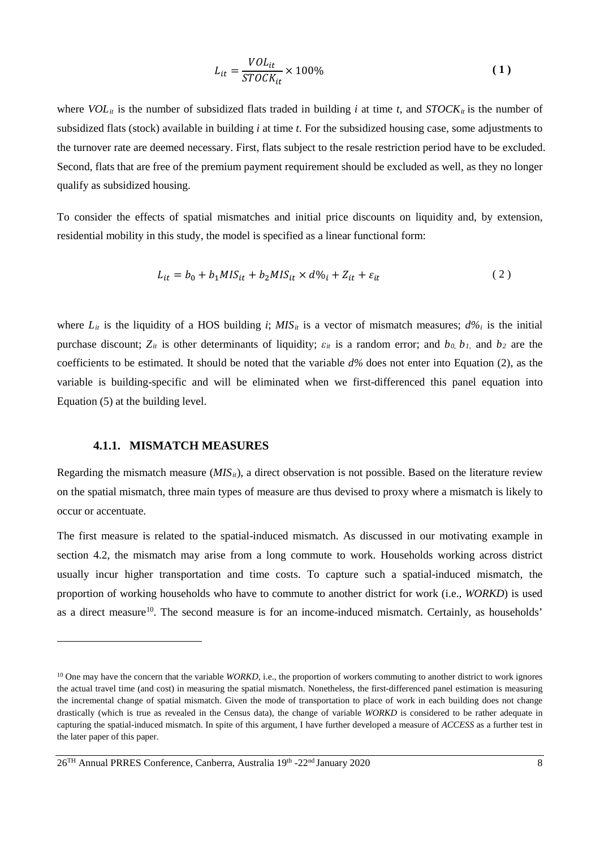$$
L_{it} = \frac{VOL_{it}}{STOCK_{it}} \times 100\%
$$
 (1)

where  $VOL_{it}$  is the number of subsidized flats traded in building *i* at time *t*, and  $STOCK_{it}$  is the number of subsidized flats (stock) available in building *i* at time *t*. For the subsidized housing case, some adjustments to the turnover rate are deemed necessary. First, flats subject to the resale restriction period have to be excluded. Second, flats that are free of the premium payment requirement should be excluded as well, as they no longer qualify as subsidized housing.

To consider the effects of spatial mismatches and initial price discounts on liquidity and, by extension, residential mobility in this study, the model is specified as a linear functional form:

<span id="page-7-1"></span>
$$
L_{it} = b_0 + b_1 M I S_{it} + b_2 M I S_{it} \times d \%_i + Z_{it} + \varepsilon_{it}
$$
 (2)

where  $L_{it}$  is the liquidity of a HOS building *i*;  $MIS_{it}$  is a vector of mismatch measures;  $d\%$  is the initial purchase discount;  $Z_{it}$  is other determinants of liquidity;  $\varepsilon_{it}$  is a random error; and  $b_0$ ,  $b_1$ , and  $b_2$  are the coefficients to be estimated. It should be noted that the variable *d%* does not enter into Equation (2), as the variable is building-specific and will be eliminated when we first-differenced this panel equation into Equation (5) at the building level.

#### **4.1.1. MISMATCH MEASURES**

-

Regarding the mismatch measure (*MIS<sub>it</sub>*), a direct observation is not possible. Based on the literature review on the spatial mismatch, three main types of measure are thus devised to proxy where a mismatch is likely to occur or accentuate.

The first measure is related to the spatial-induced mismatch. As discussed in our motivating example in section 4.2, the mismatch may arise from a long commute to work. Households working across district usually incur higher transportation and time costs. To capture such a spatial-induced mismatch, the proportion of working households who have to commute to another district for work (i.e.*, WORKD*) is used as a direct measure<sup>10</sup>. The second measure is for an income-induced mismatch. Certainly, as households'

<span id="page-7-0"></span><sup>&</sup>lt;sup>10</sup> One may have the concern that the variable *WORKD*, i.e., the proportion of workers commuting to another district to work ignores the actual travel time (and cost) in measuring the spatial mismatch. Nonetheless, the first-differenced panel estimation is measuring the incremental change of spatial mismatch. Given the mode of transportation to place of work in each building does not change drastically (which is true as revealed in the Census data), the change of variable *WORKD* is considered to be rather adequate in capturing the spatial-induced mismatch. In spite of this argument, I have further developed a measure of *ACCESS* as a further test in the later paper of this paper.

<sup>26</sup>TH Annual PRRES Conference, Canberra, Australia 19th -22nd January 2020 8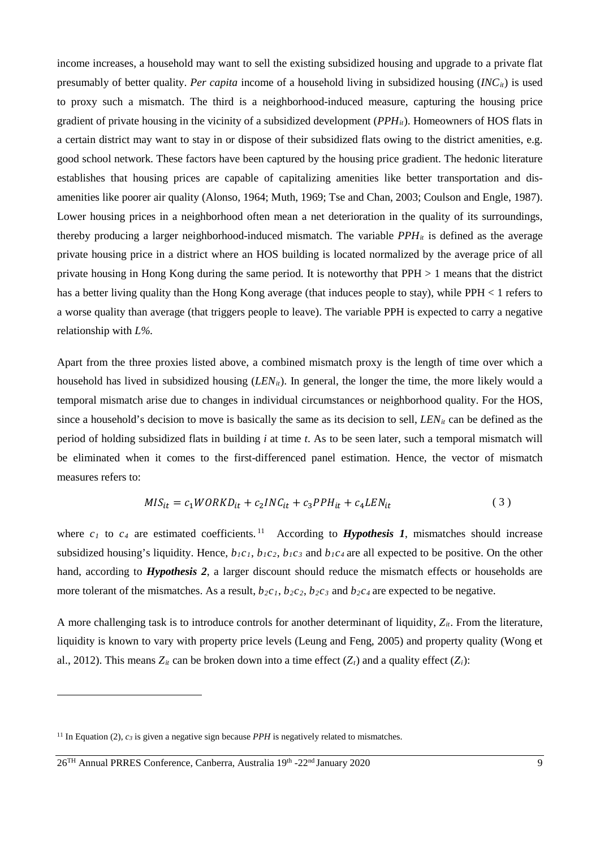income increases, a household may want to sell the existing subsidized housing and upgrade to a private flat presumably of better quality. *Per capita* income of a household living in subsidized housing (*INCit*) is used to proxy such a mismatch. The third is a neighborhood-induced measure, capturing the housing price gradient of private housing in the vicinity of a subsidized development (*PPHit*). Homeowners of HOS flats in a certain district may want to stay in or dispose of their subsidized flats owing to the district amenities, e.g. good school network. These factors have been captured by the housing price gradient. The hedonic literature establishes that housing prices are capable of capitalizing amenities like better transportation and disamenities like poorer air quality (Alonso, 1964; Muth, 1969; Tse and Chan, 2003; Coulson and Engle, 1987). Lower housing prices in a neighborhood often mean a net deterioration in the quality of its surroundings, thereby producing a larger neighborhood-induced mismatch. The variable  $PPH_{it}$  is defined as the average private housing price in a district where an HOS building is located normalized by the average price of all private housing in Hong Kong during the same period. It is noteworthy that PPH > 1 means that the district has a better living quality than the Hong Kong average (that induces people to stay), while PPH < 1 refers to a worse quality than average (that triggers people to leave). The variable PPH is expected to carry a negative relationship with *L%*.

Apart from the three proxies listed above, a combined mismatch proxy is the length of time over which a household has lived in subsidized housing (*LEN<sub>it</sub>*). In general, the longer the time, the more likely would a temporal mismatch arise due to changes in individual circumstances or neighborhood quality. For the HOS, since a household's decision to move is basically the same as its decision to sell, *LEN<sub>it</sub>* can be defined as the period of holding subsidized flats in building *i* at time *t*. As to be seen later, such a temporal mismatch will be eliminated when it comes to the first-differenced panel estimation. Hence, the vector of mismatch measures refers to:

$$
MIS_{it} = c_1 WORKD_{it} + c_2 INC_{it} + c_3 PPH_{it} + c_4 LEN_{it}
$$
\n
$$
\tag{3}
$$

where  $c_1$  to  $c_4$  are estimated coefficients.<sup>[11](#page-8-0)</sup> According to **Hypothesis 1**, mismatches should increase subsidized housing's liquidity. Hence,  $b_1c_1$ ,  $b_1c_2$ ,  $b_1c_3$  and  $b_1c_4$  are all expected to be positive. On the other hand, according to *Hypothesis 2*, a larger discount should reduce the mismatch effects or households are more tolerant of the mismatches. As a result,  $b_2c_1$ ,  $b_2c_2$ ,  $b_2c_3$  and  $b_2c_4$  are expected to be negative.

A more challenging task is to introduce controls for another determinant of liquidity, *Zit*. From the literature, liquidity is known to vary with property price levels (Leung and Feng, 2005) and property quality (Wong et al., 2012). This means  $Z_{it}$  can be broken down into a time effect  $(Z_t)$  and a quality effect  $(Z_i)$ :

<span id="page-8-0"></span><sup>&</sup>lt;sup>11</sup> In Equation (2),  $c_3$  is given a negative sign because *PPH* is negatively related to mismatches.

<sup>26</sup>TH Annual PRRES Conference, Canberra, Australia 19th -22nd January 2020 9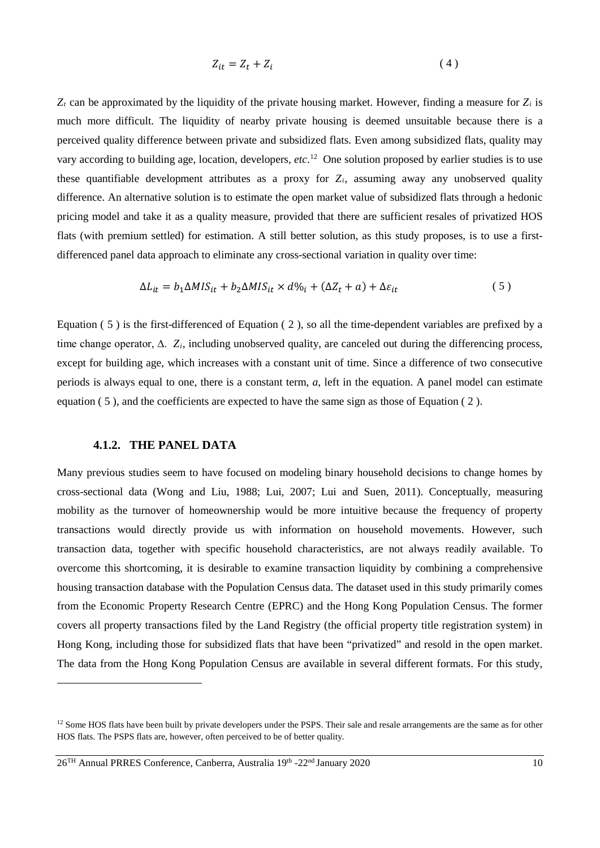$$
Z_{it} = Z_t + Z_i \tag{4}
$$

 $Z_t$  can be approximated by the liquidity of the private housing market. However, finding a measure for  $Z_i$  is much more difficult. The liquidity of nearby private housing is deemed unsuitable because there is a perceived quality difference between private and subsidized flats. Even among subsidized flats, quality may vary according to building age, location, developers, *etc*. [12](#page-9-1) One solution proposed by earlier studies is to use these quantifiable development attributes as a proxy for  $Z_i$ , assuming away any unobserved quality difference. An alternative solution is to estimate the open market value of subsidized flats through a hedonic pricing model and take it as a quality measure, provided that there are sufficient resales of privatized HOS flats (with premium settled) for estimation. A still better solution, as this study proposes, is to use a firstdifferenced panel data approach to eliminate any cross-sectional variation in quality over time:

<span id="page-9-0"></span>
$$
\Delta L_{it} = b_1 \Delta M I S_{it} + b_2 \Delta M I S_{it} \times d \%_i + (\Delta Z_t + a) + \Delta \varepsilon_{it}
$$
\n<sup>(5)</sup>

Equation [\( 5](#page-9-0) ) is the first-differenced of Equation [\( 2](#page-7-1) ), so all the time-dependent variables are prefixed by a time change operator, ∆. *Zi*, including unobserved quality, are canceled out during the differencing process, except for building age, which increases with a constant unit of time. Since a difference of two consecutive periods is always equal to one, there is a constant term, *a*, left in the equation. A panel model can estimate equation ( 5 ), and the coefficients are expected to have the same sign as those of Equatio[n \( 2](#page-7-1) ).

#### **4.1.2. THE PANEL DATA**

<u>.</u>

Many previous studies seem to have focused on modeling binary household decisions to change homes by cross-sectional data (Wong and Liu, 1988; Lui, 2007; Lui and Suen, 2011). Conceptually, measuring mobility as the turnover of homeownership would be more intuitive because the frequency of property transactions would directly provide us with information on household movements. However, such transaction data, together with specific household characteristics, are not always readily available. To overcome this shortcoming, it is desirable to examine transaction liquidity by combining a comprehensive housing transaction database with the Population Census data. The dataset used in this study primarily comes from the Economic Property Research Centre (EPRC) and the Hong Kong Population Census. The former covers all property transactions filed by the Land Registry (the official property title registration system) in Hong Kong, including those for subsidized flats that have been "privatized" and resold in the open market. The data from the Hong Kong Population Census are available in several different formats. For this study,

<span id="page-9-1"></span><sup>&</sup>lt;sup>12</sup> Some HOS flats have been built by private developers under the PSPS. Their sale and resale arrangements are the same as for other HOS flats. The PSPS flats are, however, often perceived to be of better quality.

<sup>26</sup>TH Annual PRRES Conference, Canberra, Australia 19th -22nd January 2020 10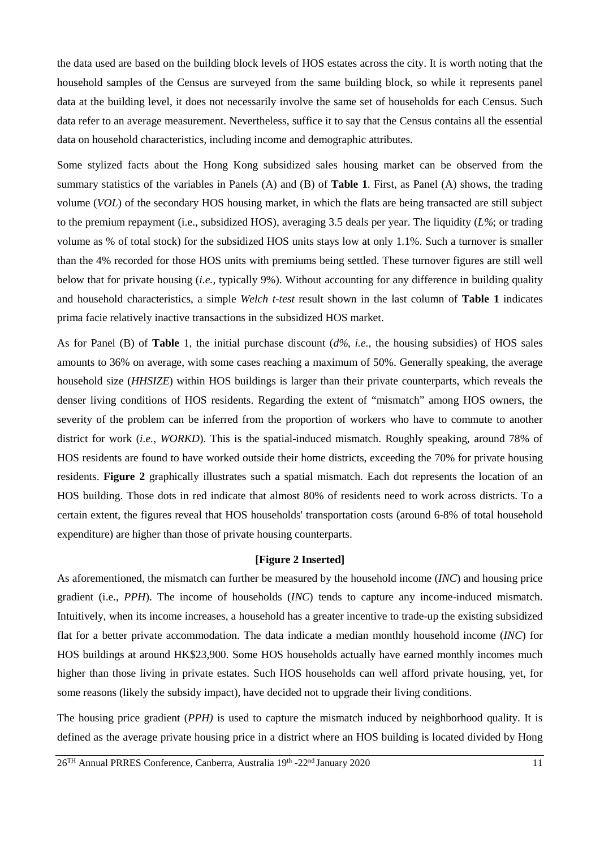the data used are based on the building block levels of HOS estates across the city. It is worth noting that the household samples of the Census are surveyed from the same building block, so while it represents panel data at the building level, it does not necessarily involve the same set of households for each Census. Such data refer to an average measurement. Nevertheless, suffice it to say that the Census contains all the essential data on household characteristics, including income and demographic attributes.

Some stylized facts about the Hong Kong subsidized sales housing market can be observed from the summary statistics of the variables in Panels (A) and (B) of **[Table](#page-11-0) 1**. First, as Panel (A) shows, the trading volume (*VOL*) of the secondary HOS housing market, in which the flats are being transacted are still subject to the premium repayment (i.e., subsidized HOS), averaging 3.5 deals per year. The liquidity (*L%*; or trading volume as % of total stock) for the subsidized HOS units stays low at only 1.1%. Such a turnover is smaller than the 4% recorded for those HOS units with premiums being settled. These turnover figures are still well below that for private housing (*i.e.,* typically 9%). Without accounting for any difference in building quality and household characteristics, a simple *Welch t-test* result shown in the last column of **[Table](#page-11-0) 1** indicates prima facie relatively inactive transactions in the subsidized HOS market.

As for Panel (B) of **[Table](#page-11-0)** 1, the initial purchase discount (*d%, i.e.,* the housing subsidies) of HOS sales amounts to 36% on average, with some cases reaching a maximum of 50%. Generally speaking, the average household size (*HHSIZE*) within HOS buildings is larger than their private counterparts, which reveals the denser living conditions of HOS residents. Regarding the extent of "mismatch" among HOS owners, the severity of the problem can be inferred from the proportion of workers who have to commute to another district for work (*i.e., WORKD*). This is the spatial-induced mismatch. Roughly speaking, around 78% of HOS residents are found to have worked outside their home districts, exceeding the 70% for private housing residents. **Figure 2** graphically illustrates such a spatial mismatch. Each dot represents the location of an HOS building. Those dots in red indicate that almost 80% of residents need to work across districts. To a certain extent, the figures reveal that HOS households' transportation costs (around 6-8% of total household expenditure) are higher than those of private housing counterparts.

#### **[Figure 2 Inserted]**

As aforementioned, the mismatch can further be measured by the household income (*INC*) and housing price gradient (i.e., *PPH*). The income of households (*INC*) tends to capture any income-induced mismatch. Intuitively, when its income increases, a household has a greater incentive to trade-up the existing subsidized flat for a better private accommodation. The data indicate a median monthly household income (*INC*) for HOS buildings at around HK\$23,900. Some HOS households actually have earned monthly incomes much higher than those living in private estates. Such HOS households can well afford private housing, yet, for some reasons (likely the subsidy impact), have decided not to upgrade their living conditions.

The housing price gradient (*PPH)* is used to capture the mismatch induced by neighborhood quality. It is defined as the average private housing price in a district where an HOS building is located divided by Hong

26TH Annual PRRES Conference, Canberra, Australia 19th -22nd January 2020 11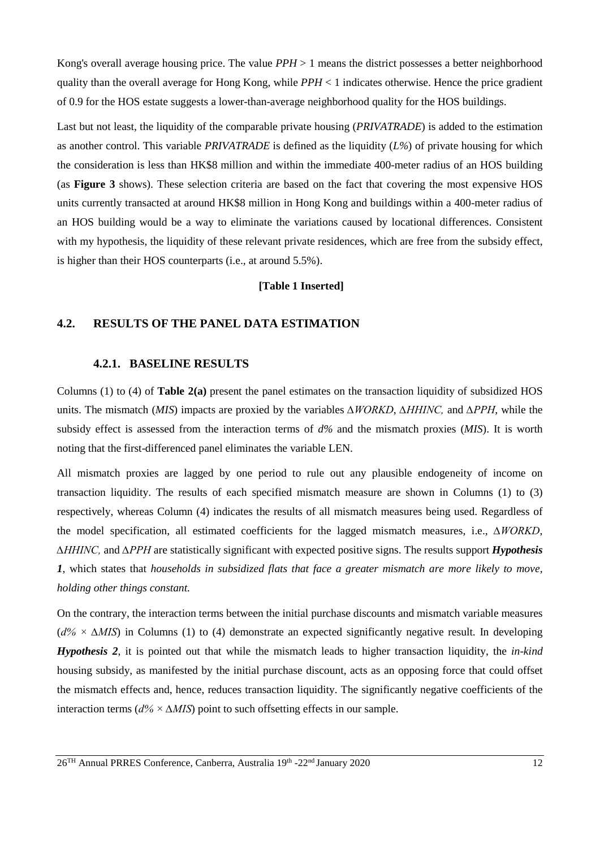Kong's overall average housing price. The value *PPH* > 1 means the district possesses a better neighborhood quality than the overall average for Hong Kong, while *PPH* < 1 indicates otherwise. Hence the price gradient of 0.9 for the HOS estate suggests a lower-than-average neighborhood quality for the HOS buildings.

<span id="page-11-0"></span>Last but not least, the liquidity of the comparable private housing (*PRIVATRADE*) is added to the estimation as another control. This variable *PRIVATRADE* is defined as the liquidity (*L%*) of private housing for which the consideration is less than HK\$8 million and within the immediate 400-meter radius of an HOS building (as **[Figure](#page-14-0) 3** shows). These selection criteria are based on the fact that covering the most expensive HOS units currently transacted at around HK\$8 million in Hong Kong and buildings within a 400-meter radius of an HOS building would be a way to eliminate the variations caused by locational differences. Consistent with my hypothesis, the liquidity of these relevant private residences, which are free from the subsidy effect, is higher than their HOS counterparts (i.e.*,* at around 5.5%).

#### **[Table 1 Inserted]**

### **4.2. RESULTS OF THE PANEL DATA ESTIMATION**

#### **4.2.1. BASELINE RESULTS**

Columns (1) to (4) of **[Table 2](#page-12-0)(a)** present the panel estimates on the transaction liquidity of subsidized HOS units. The mismatch (*MIS*) impacts are proxied by the variables *∆WORKD*, *∆HHINC,* and *∆PPH*, while the subsidy effect is assessed from the interaction terms of *d%* and the mismatch proxies (*MIS*). It is worth noting that the first-differenced panel eliminates the variable LEN.

All mismatch proxies are lagged by one period to rule out any plausible endogeneity of income on transaction liquidity. The results of each specified mismatch measure are shown in Columns (1) to (3) respectively, whereas Column (4) indicates the results of all mismatch measures being used. Regardless of the model specification, all estimated coefficients for the lagged mismatch measures, i.e., *∆WORKD*, *∆HHINC,* and *∆PPH* are statistically significant with expected positive signs. The results support *Hypothesis 1*, which states that *households in subsidized flats that face a greater mismatch are more likely to move, holding other things constant.*

On the contrary, the interaction terms between the initial purchase discounts and mismatch variable measures (*d% × ∆MIS*) in Columns (1) to (4) demonstrate an expected significantly negative result. In developing *Hypothesis 2*, it is pointed out that while the mismatch leads to higher transaction liquidity, the *in-kind* housing subsidy, as manifested by the initial purchase discount, acts as an opposing force that could offset the mismatch effects and, hence, reduces transaction liquidity. The significantly negative coefficients of the interaction terms (*d% × ∆MIS*) point to such offsetting effects in our sample.

26TH Annual PRRES Conference, Canberra, Australia 19th -22nd January 2020 12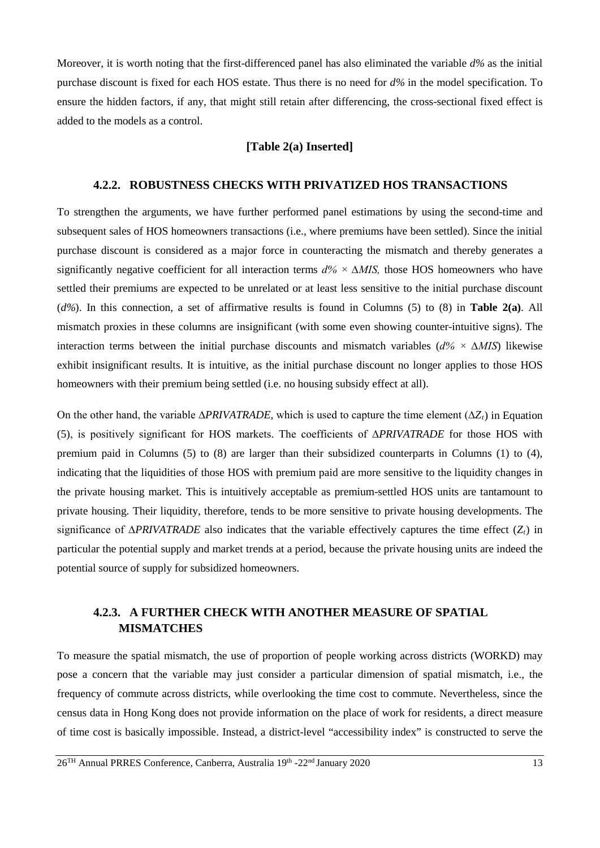Moreover, it is worth noting that the first-differenced panel has also eliminated the variable *d%* as the initial purchase discount is fixed for each HOS estate. Thus there is no need for *d%* in the model specification. To ensure the hidden factors, if any, that might still retain after differencing, the cross-sectional fixed effect is added to the models as a control.

#### **[Table 2(a) Inserted]**

### <span id="page-12-0"></span>**4.2.2. ROBUSTNESS CHECKS WITH PRIVATIZED HOS TRANSACTIONS**

To strengthen the arguments, we have further performed panel estimations by using the second-time and subsequent sales of HOS homeowners transactions (i.e.*,* where premiums have been settled). Since the initial purchase discount is considered as a major force in counteracting the mismatch and thereby generates a significantly negative coefficient for all interaction terms *d% × ∆MIS,* those HOS homeowners who have settled their premiums are expected to be unrelated or at least less sensitive to the initial purchase discount (*d%*). In this connection, a set of affirmative results is found in Columns (5) to (8) in **Table 2(a)**. All mismatch proxies in these columns are insignificant (with some even showing counter-intuitive signs). The interaction terms between the initial purchase discounts and mismatch variables (*d% × ∆MIS*) likewise exhibit insignificant results. It is intuitive, as the initial purchase discount no longer applies to those HOS homeowners with their premium being settled (i.e. no housing subsidy effect at all).

On the other hand, the variable ∆*PRIVATRADE*, which is used to capture the time element (∆*Zt*) in Equation [\(5\)](#page-9-0), is positively significant for HOS markets. The coefficients of ∆*PRIVATRADE* for those HOS with premium paid in Columns (5) to (8) are larger than their subsidized counterparts in Columns (1) to (4), indicating that the liquidities of those HOS with premium paid are more sensitive to the liquidity changes in the private housing market. This is intuitively acceptable as premium-settled HOS units are tantamount to private housing. Their liquidity, therefore, tends to be more sensitive to private housing developments. The significance of ∆*PRIVATRADE* also indicates that the variable effectively captures the time effect (*Z<sub>t</sub>*) in particular the potential supply and market trends at a period, because the private housing units are indeed the potential source of supply for subsidized homeowners.

## **4.2.3. A FURTHER CHECK WITH ANOTHER MEASURE OF SPATIAL MISMATCHES**

To measure the spatial mismatch, the use of proportion of people working across districts (WORKD) may pose a concern that the variable may just consider a particular dimension of spatial mismatch, i.e., the frequency of commute across districts, while overlooking the time cost to commute. Nevertheless, since the census data in Hong Kong does not provide information on the place of work for residents, a direct measure of time cost is basically impossible. Instead, a district-level "accessibility index" is constructed to serve the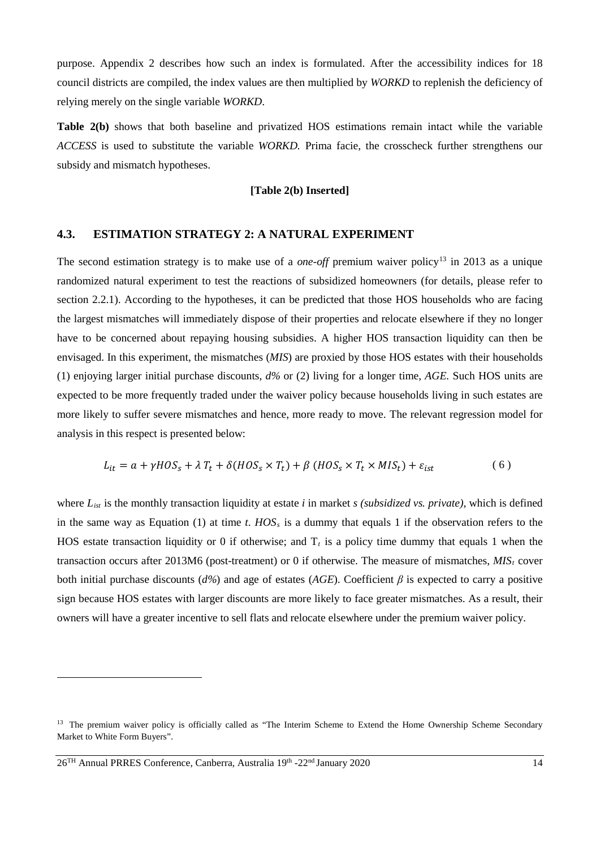purpose. Appendix 2 describes how such an index is formulated. After the accessibility indices for 18 council districts are compiled, the index values are then multiplied by *WORKD* to replenish the deficiency of relying merely on the single variable *WORKD*.

**Table 2(b)** shows that both baseline and privatized HOS estimations remain intact while the variable *ACCESS* is used to substitute the variable *WORKD.* Prima facie, the crosscheck further strengthens our subsidy and mismatch hypotheses.

#### **[Table 2(b) Inserted]**

#### **4.3. ESTIMATION STRATEGY 2: A NATURAL EXPERIMENT**

The second estimation strategy is to make use of a *one-off* premium waiver policy<sup>[13](#page-13-0)</sup> in 2013 as a unique randomized natural experiment to test the reactions of subsidized homeowners (for details, please refer to section 2.2.1). According to the hypotheses, it can be predicted that those HOS households who are facing the largest mismatches will immediately dispose of their properties and relocate elsewhere if they no longer have to be concerned about repaying housing subsidies. A higher HOS transaction liquidity can then be envisaged. In this experiment, the mismatches (*MIS*) are proxied by those HOS estates with their households (1) enjoying larger initial purchase discounts, *d%* or (2) living for a longer time, *AGE.* Such HOS units are expected to be more frequently traded under the waiver policy because households living in such estates are more likely to suffer severe mismatches and hence, more ready to move. The relevant regression model for analysis in this respect is presented below:

$$
L_{it} = a + \gamma HOS_s + \lambda T_t + \delta(HOS_s \times T_t) + \beta (HOS_s \times T_t \times MIS_t) + \varepsilon_{ist}
$$
 (6)

where *List* is the monthly transaction liquidity at estate *i* in market *s (subsidized vs. private),* which is defined in the same way as Equation (1) at time *t*.  $HOS<sub>s</sub>$  is a dummy that equals 1 if the observation refers to the HOS estate transaction liquidity or 0 if otherwise; and  $T_t$  is a policy time dummy that equals 1 when the transaction occurs after 2013M6 (post-treatment) or 0 if otherwise. The measure of mismatches,  $MIS_t$  cover both initial purchase discounts (*d%*) and age of estates (*AGE*). Coefficient *β* is expected to carry a positive sign because HOS estates with larger discounts are more likely to face greater mismatches. As a result, their owners will have a greater incentive to sell flats and relocate elsewhere under the premium waiver policy.

<span id="page-13-0"></span><sup>&</sup>lt;sup>13</sup> The premium waiver policy is officially called as "The Interim Scheme to Extend the Home Ownership Scheme Secondary Market to White Form Buyers".

<sup>26</sup>TH Annual PRRES Conference, Canberra, Australia 19th -22nd January 2020 14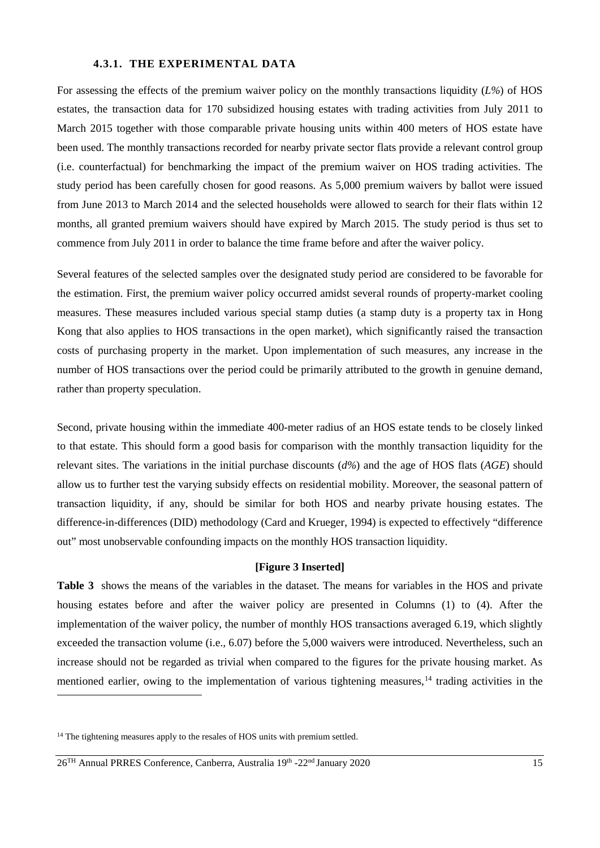#### **4.3.1. THE EXPERIMENTAL DATA**

For assessing the effects of the premium waiver policy on the monthly transactions liquidity (*L%*) of HOS estates, the transaction data for 170 subsidized housing estates with trading activities from July 2011 to March 2015 together with those comparable private housing units within 400 meters of HOS estate have been used. The monthly transactions recorded for nearby private sector flats provide a relevant control group (i.e. counterfactual) for benchmarking the impact of the premium waiver on HOS trading activities. The study period has been carefully chosen for good reasons. As 5,000 premium waivers by ballot were issued from June 2013 to March 2014 and the selected households were allowed to search for their flats within 12 months, all granted premium waivers should have expired by March 2015. The study period is thus set to commence from July 2011 in order to balance the time frame before and after the waiver policy.

Several features of the selected samples over the designated study period are considered to be favorable for the estimation. First, the premium waiver policy occurred amidst several rounds of property-market cooling measures. These measures included various special stamp duties (a stamp duty is a property tax in Hong Kong that also applies to HOS transactions in the open market), which significantly raised the transaction costs of purchasing property in the market. Upon implementation of such measures, any increase in the number of HOS transactions over the period could be primarily attributed to the growth in genuine demand, rather than property speculation.

Second, private housing within the immediate 400-meter radius of an HOS estate tends to be closely linked to that estate. This should form a good basis for comparison with the monthly transaction liquidity for the relevant sites. The variations in the initial purchase discounts (*d%*) and the age of HOS flats (*AGE*) should allow us to further test the varying subsidy effects on residential mobility. Moreover, the seasonal pattern of transaction liquidity, if any, should be similar for both HOS and nearby private housing estates. The difference-in-differences (DID) methodology (Card and Krueger, 1994) is expected to effectively "difference out" most unobservable confounding impacts on the monthly HOS transaction liquidity.

#### **[Figure 3 Inserted]**

<span id="page-14-0"></span>**Table 3** shows the means of the variables in the dataset. The means for variables in the HOS and private housing estates before and after the waiver policy are presented in Columns (1) to (4). After the implementation of the waiver policy, the number of monthly HOS transactions averaged 6.19, which slightly exceeded the transaction volume (i.e.*,* 6.07) before the 5,000 waivers were introduced. Nevertheless, such an increase should not be regarded as trivial when compared to the figures for the private housing market. As mentioned earlier, owing to the implementation of various tightening measures,<sup>[14](#page-14-1)</sup> trading activities in the

<span id="page-14-1"></span><sup>&</sup>lt;sup>14</sup> The tightening measures apply to the resales of HOS units with premium settled.

<sup>26</sup>TH Annual PRRES Conference, Canberra, Australia 19th -22nd January 2020 15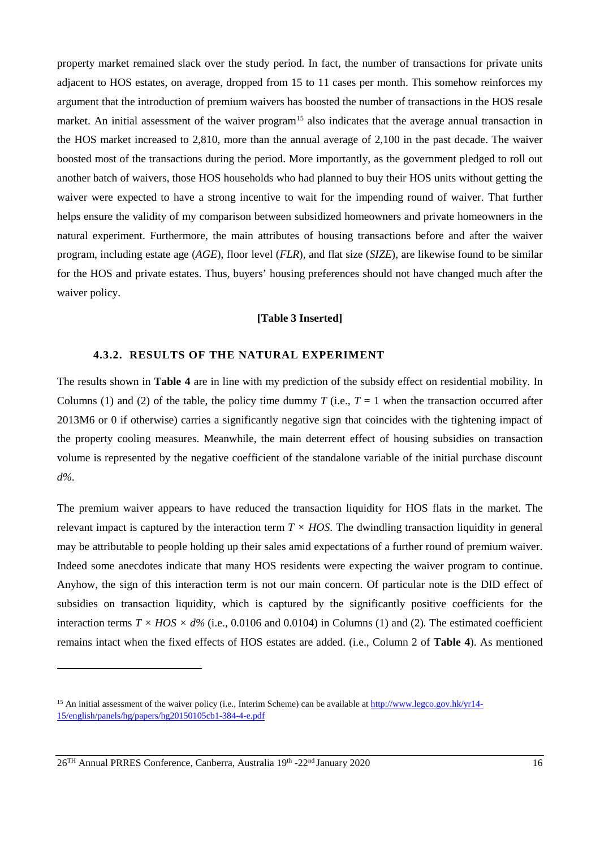property market remained slack over the study period. In fact, the number of transactions for private units adjacent to HOS estates, on average, dropped from 15 to 11 cases per month. This somehow reinforces my argument that the introduction of premium waivers has boosted the number of transactions in the HOS resale market. An initial assessment of the waiver program<sup>15</sup> also indicates that the average annual transaction in the HOS market increased to 2,810, more than the annual average of 2,100 in the past decade. The waiver boosted most of the transactions during the period. More importantly, as the government pledged to roll out another batch of waivers, those HOS households who had planned to buy their HOS units without getting the waiver were expected to have a strong incentive to wait for the impending round of waiver. That further helps ensure the validity of my comparison between subsidized homeowners and private homeowners in the natural experiment. Furthermore, the main attributes of housing transactions before and after the waiver program, including estate age (*AGE*), floor level (*FLR*), and flat size (*SIZE*), are likewise found to be similar for the HOS and private estates. Thus, buyers' housing preferences should not have changed much after the waiver policy.

#### **[Table 3 Inserted]**

### **4.3.2. RESULTS OF THE NATURAL EXPERIMENT**

The results shown in **Table 4** are in line with my prediction of the subsidy effect on residential mobility. In Columns (1) and (2) of the table, the policy time dummy *T* (i.e.,  $T = 1$  when the transaction occurred after 2013M6 or 0 if otherwise) carries a significantly negative sign that coincides with the tightening impact of the property cooling measures. Meanwhile, the main deterrent effect of housing subsidies on transaction volume is represented by the negative coefficient of the standalone variable of the initial purchase discount *d%*.

The premium waiver appears to have reduced the transaction liquidity for HOS flats in the market. The relevant impact is captured by the interaction term  $T \times HOS$ . The dwindling transaction liquidity in general may be attributable to people holding up their sales amid expectations of a further round of premium waiver. Indeed some anecdotes indicate that many HOS residents were expecting the waiver program to continue. Anyhow, the sign of this interaction term is not our main concern. Of particular note is the DID effect of subsidies on transaction liquidity, which is captured by the significantly positive coefficients for the interaction terms  $T \times HOS \times d\%$  (i.e., 0.0106 and 0.0104) in Columns (1) and (2). The estimated coefficient remains intact when the fixed effects of HOS estates are added. (i.e., Column 2 of **Table 4**). As mentioned

26TH Annual PRRES Conference, Canberra, Australia 19th -22nd January 2020 16

<span id="page-15-0"></span><sup>&</sup>lt;sup>15</sup> An initial assessment of the waiver policy (i.e., Interim Scheme) can be available at [http://www.legco.gov.hk/yr14-](http://www.legco.gov.hk/yr14-15/english/panels/hg/papers/hg20150105cb1-384-4-e.pdf) [15/english/panels/hg/papers/hg20150105cb1-384-4-e.pdf](http://www.legco.gov.hk/yr14-15/english/panels/hg/papers/hg20150105cb1-384-4-e.pdf)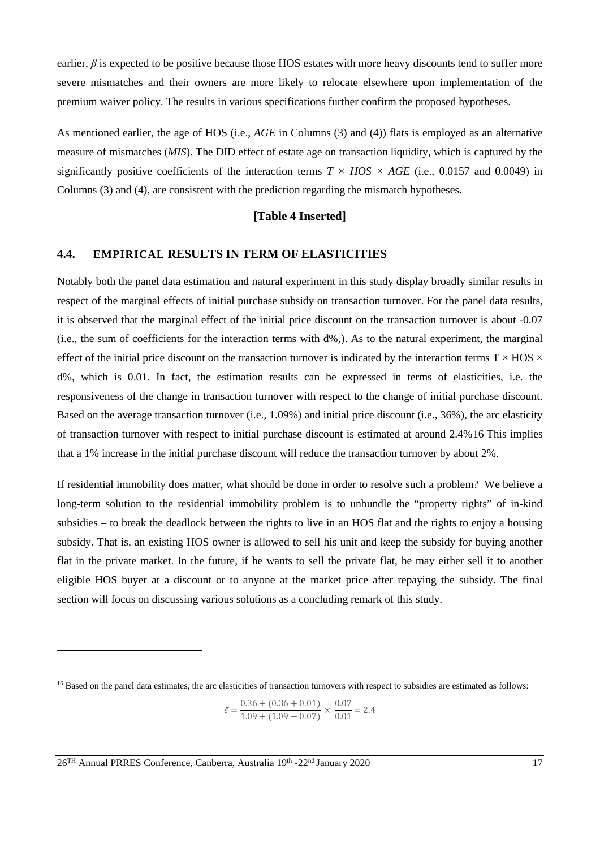earlier, *β* is expected to be positive because those HOS estates with more heavy discounts tend to suffer more severe mismatches and their owners are more likely to relocate elsewhere upon implementation of the premium waiver policy. The results in various specifications further confirm the proposed hypotheses.

As mentioned earlier, the age of HOS (i.e., *AGE* in Columns (3) and (4)) flats is employed as an alternative measure of mismatches (*MIS*). The DID effect of estate age on transaction liquidity, which is captured by the significantly positive coefficients of the interaction terms  $T \times HOS \times AGE$  (i.e., 0.0157 and 0.0049) in Columns (3) and (4), are consistent with the prediction regarding the mismatch hypotheses*.*

## **[Table 4 Inserted]**

## **4.4. EMPIRICAL RESULTS IN TERM OF ELASTICITIES**

Notably both the panel data estimation and natural experiment in this study display broadly similar results in respect of the marginal effects of initial purchase subsidy on transaction turnover. For the panel data results, it is observed that the marginal effect of the initial price discount on the transaction turnover is about -0.07 (i.e., the sum of coefficients for the interaction terms with d%,). As to the natural experiment, the marginal effect of the initial price discount on the transaction turnover is indicated by the interaction terms  $T \times HOS \times$ d%, which is 0.01. In fact, the estimation results can be expressed in terms of elasticities, i.e. the responsiveness of the change in transaction turnover with respect to the change of initial purchase discount. Based on the average transaction turnover (i.e., 1.09%) and initial price discount (i.e., 36%), the arc elasticity of transaction turnover with respect to initial purchase discount is estimated at around 2.4%[16](#page-16-0) This implies that a 1% increase in the initial purchase discount will reduce the transaction turnover by about 2%.

If residential immobility does matter, what should be done in order to resolve such a problem? We believe a long-term solution to the residential immobility problem is to unbundle the "property rights" of in-kind subsidies – to break the deadlock between the rights to live in an HOS flat and the rights to enjoy a housing subsidy. That is, an existing HOS owner is allowed to sell his unit and keep the subsidy for buying another flat in the private market. In the future, if he wants to sell the private flat, he may either sell it to another eligible HOS buyer at a discount or to anyone at the market price after repaying the subsidy. The final section will focus on discussing various solutions as a concluding remark of this study.

$$
\bar{\epsilon} = \frac{0.36 + (0.36 + 0.01)}{1.09 + (1.09 - 0.07)} \times \frac{0.07}{0.01} = 2.4
$$

<span id="page-16-0"></span><sup>&</sup>lt;sup>16</sup> Based on the panel data estimates, the arc elasticities of transaction turnovers with respect to subsidies are estimated as follows: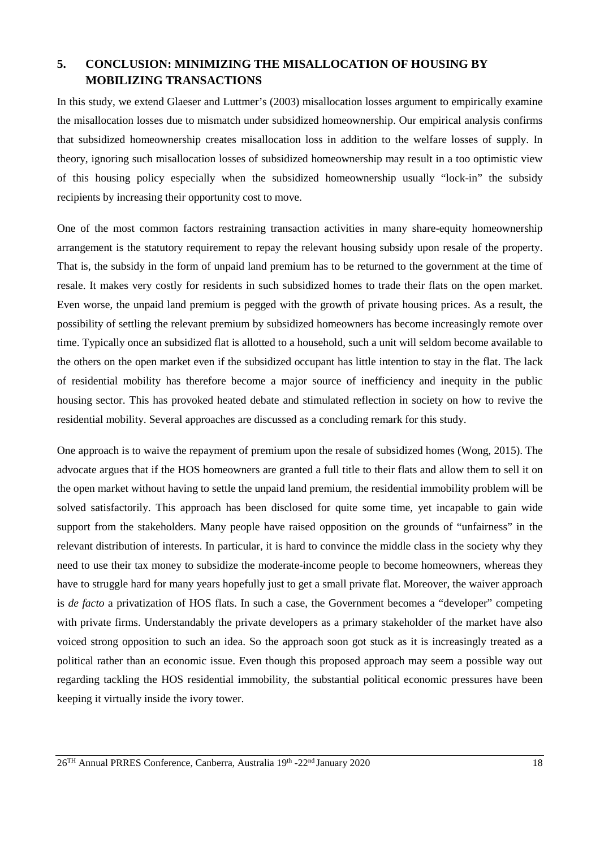## **5. CONCLUSION: MINIMIZING THE MISALLOCATION OF HOUSING BY MOBILIZING TRANSACTIONS**

In this study, we extend Glaeser and Luttmer's (2003) misallocation losses argument to empirically examine the misallocation losses due to mismatch under subsidized homeownership. Our empirical analysis confirms that subsidized homeownership creates misallocation loss in addition to the welfare losses of supply. In theory, ignoring such misallocation losses of subsidized homeownership may result in a too optimistic view of this housing policy especially when the subsidized homeownership usually "lock-in" the subsidy recipients by increasing their opportunity cost to move.

One of the most common factors restraining transaction activities in many share-equity homeownership arrangement is the statutory requirement to repay the relevant housing subsidy upon resale of the property. That is, the subsidy in the form of unpaid land premium has to be returned to the government at the time of resale. It makes very costly for residents in such subsidized homes to trade their flats on the open market. Even worse, the unpaid land premium is pegged with the growth of private housing prices. As a result, the possibility of settling the relevant premium by subsidized homeowners has become increasingly remote over time. Typically once an subsidized flat is allotted to a household, such a unit will seldom become available to the others on the open market even if the subsidized occupant has little intention to stay in the flat. The lack of residential mobility has therefore become a major source of inefficiency and inequity in the public housing sector. This has provoked heated debate and stimulated reflection in society on how to revive the residential mobility. Several approaches are discussed as a concluding remark for this study.

One approach is to waive the repayment of premium upon the resale of subsidized homes (Wong, 2015). The advocate argues that if the HOS homeowners are granted a full title to their flats and allow them to sell it on the open market without having to settle the unpaid land premium, the residential immobility problem will be solved satisfactorily. This approach has been disclosed for quite some time, yet incapable to gain wide support from the stakeholders. Many people have raised opposition on the grounds of "unfairness" in the relevant distribution of interests. In particular, it is hard to convince the middle class in the society why they need to use their tax money to subsidize the moderate-income people to become homeowners, whereas they have to struggle hard for many years hopefully just to get a small private flat. Moreover, the waiver approach is *de facto* a privatization of HOS flats. In such a case, the Government becomes a "developer" competing with private firms. Understandably the private developers as a primary stakeholder of the market have also voiced strong opposition to such an idea. So the approach soon got stuck as it is increasingly treated as a political rather than an economic issue. Even though this proposed approach may seem a possible way out regarding tackling the HOS residential immobility, the substantial political economic pressures have been keeping it virtually inside the ivory tower.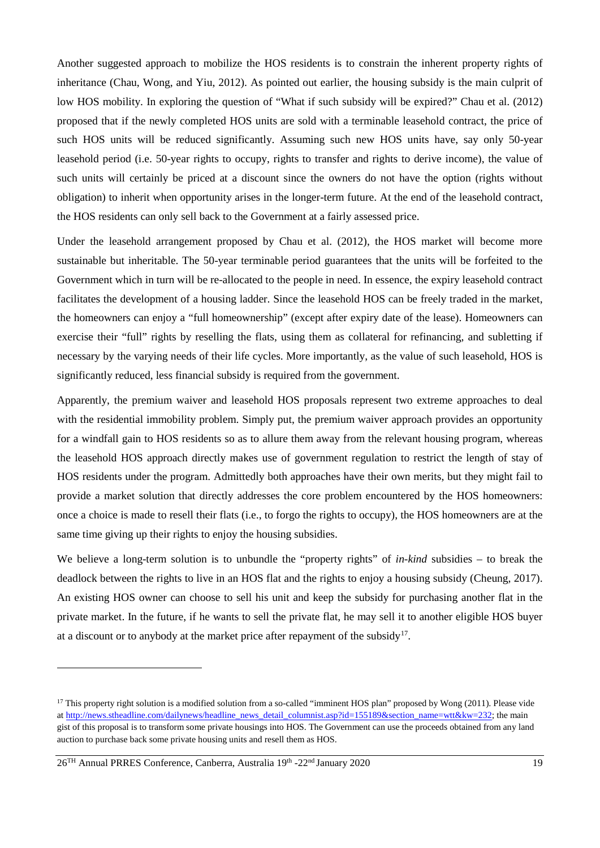Another suggested approach to mobilize the HOS residents is to constrain the inherent property rights of inheritance (Chau, Wong, and Yiu, 2012). As pointed out earlier, the housing subsidy is the main culprit of low HOS mobility. In exploring the question of "What if such subsidy will be expired?" Chau et al. (2012) proposed that if the newly completed HOS units are sold with a terminable leasehold contract, the price of such HOS units will be reduced significantly. Assuming such new HOS units have, say only 50-year leasehold period (i.e. 50-year rights to occupy, rights to transfer and rights to derive income), the value of such units will certainly be priced at a discount since the owners do not have the option (rights without obligation) to inherit when opportunity arises in the longer-term future. At the end of the leasehold contract, the HOS residents can only sell back to the Government at a fairly assessed price.

Under the leasehold arrangement proposed by Chau et al. (2012), the HOS market will become more sustainable but inheritable. The 50-year terminable period guarantees that the units will be forfeited to the Government which in turn will be re-allocated to the people in need. In essence, the expiry leasehold contract facilitates the development of a housing ladder. Since the leasehold HOS can be freely traded in the market, the homeowners can enjoy a "full homeownership" (except after expiry date of the lease). Homeowners can exercise their "full" rights by reselling the flats, using them as collateral for refinancing, and subletting if necessary by the varying needs of their life cycles. More importantly, as the value of such leasehold, HOS is significantly reduced, less financial subsidy is required from the government.

Apparently, the premium waiver and leasehold HOS proposals represent two extreme approaches to deal with the residential immobility problem. Simply put, the premium waiver approach provides an opportunity for a windfall gain to HOS residents so as to allure them away from the relevant housing program, whereas the leasehold HOS approach directly makes use of government regulation to restrict the length of stay of HOS residents under the program. Admittedly both approaches have their own merits, but they might fail to provide a market solution that directly addresses the core problem encountered by the HOS homeowners: once a choice is made to resell their flats (i.e., to forgo the rights to occupy), the HOS homeowners are at the same time giving up their rights to enjoy the housing subsidies.

We believe a long-term solution is to unbundle the "property rights" of *in-kind* subsidies – to break the deadlock between the rights to live in an HOS flat and the rights to enjoy a housing subsidy (Cheung, 2017). An existing HOS owner can choose to sell his unit and keep the subsidy for purchasing another flat in the private market. In the future, if he wants to sell the private flat, he may sell it to another eligible HOS buyer at a discount or to anybody at the market price after repayment of the subsidy<sup>17</sup>.

<span id="page-18-0"></span><sup>&</sup>lt;sup>17</sup> This property right solution is a modified solution from a so-called "imminent HOS plan" proposed by Wong (2011). Please vide a[t http://news.stheadline.com/dailynews/headline\\_news\\_detail\\_columnist.asp?id=155189&section\\_name=wtt&kw=232;](http://news.stheadline.com/dailynews/headline_news_detail_columnist.asp?id=155189§ion_name=wtt&kw=232) the main gist of this proposal is to transform some private housings into HOS. The Government can use the proceeds obtained from any land auction to purchase back some private housing units and resell them as HOS.

<sup>26&</sup>lt;sup>TH</sup> Annual PRRES Conference, Canberra, Australia 19<sup>th</sup> -22<sup>nd</sup> January 2020 19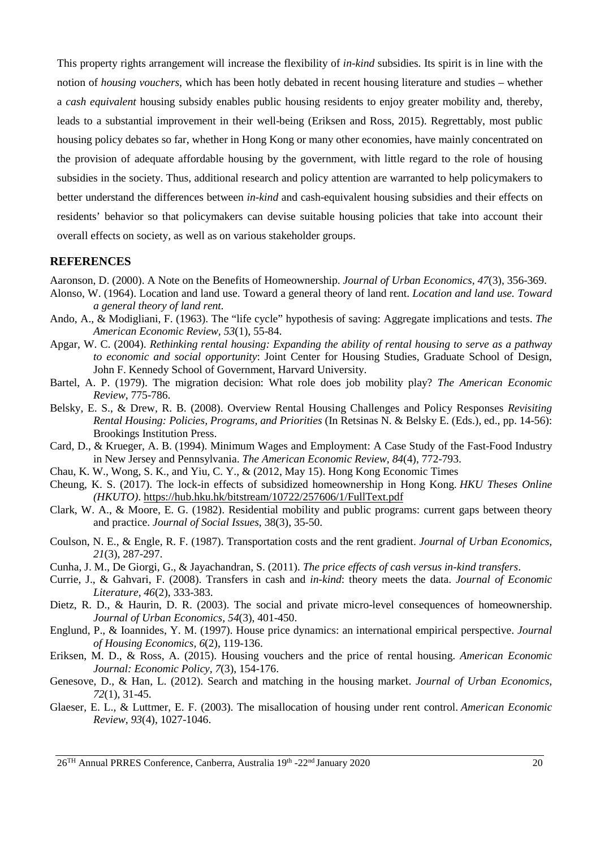This property rights arrangement will increase the flexibility of *in-kind* subsidies. Its spirit is in line with the notion of *housing vouchers*, which has been hotly debated in recent housing literature and studies *–* whether a *cash equivalent* housing subsidy enables public housing residents to enjoy greater mobility and, thereby, leads to a substantial improvement in their well-being (Eriksen and Ross, 2015). Regrettably, most public housing policy debates so far, whether in Hong Kong or many other economies, have mainly concentrated on the provision of adequate affordable housing by the government, with little regard to the role of housing subsidies in the society. Thus, additional research and policy attention are warranted to help policymakers to better understand the differences between *in-kind* and cash-equivalent housing subsidies and their effects on residents' behavior so that policymakers can devise suitable housing policies that take into account their overall effects on society, as well as on various stakeholder groups.

## **REFERENCES**

Aaronson, D. (2000). A Note on the Benefits of Homeownership. *Journal of Urban Economics, 47*(3), 356-369.

- Alonso, W. (1964). Location and land use. Toward a general theory of land rent. *Location and land use. Toward a general theory of land rent.*
- Ando, A., & Modigliani, F. (1963). The "life cycle" hypothesis of saving: Aggregate implications and tests. *The American Economic Review, 53*(1), 55-84.
- Apgar, W. C. (2004). *Rethinking rental housing: Expanding the ability of rental housing to serve as a pathway to economic and social opportunity*: Joint Center for Housing Studies, Graduate School of Design, John F. Kennedy School of Government, Harvard University.
- Bartel, A. P. (1979). The migration decision: What role does job mobility play? *The American Economic Review*, 775-786.
- Belsky, E. S., & Drew, R. B. (2008). Overview Rental Housing Challenges and Policy Responses *Revisiting Rental Housing: Policies, Programs, and Priorities* (In Retsinas N. & Belsky E. (Eds.), ed., pp. 14-56): Brookings Institution Press.
- Card, D., & Krueger, A. B. (1994). Minimum Wages and Employment: A Case Study of the Fast-Food Industry in New Jersey and Pennsylvania. *The American Economic Review, 84*(4), 772-793.
- Chau, K. W., Wong, S. K., and Yiu, C. Y., & (2012, May 15). Hong Kong Economic Times
- Cheung, K. S. (2017). The lock-in effects of subsidized homeownership in Hong Kong. *HKU Theses Online (HKUTO)*.<https://hub.hku.hk/bitstream/10722/257606/1/FullText.pdf>
- Clark, W. A., & Moore, E. G. (1982). Residential mobility and public programs: current gaps between theory and practice. *Journal of Social Issues*, 38(3), 35-50.
- Coulson, N. E., & Engle, R. F. (1987). Transportation costs and the rent gradient. *Journal of Urban Economics, 21*(3), 287-297.
- Cunha, J. M., De Giorgi, G., & Jayachandran, S. (2011). *The price effects of cash versus in-kind transfers*.
- Currie, J., & Gahvari, F. (2008). Transfers in cash and *in-kind*: theory meets the data. *Journal of Economic Literature, 46*(2), 333-383.
- Dietz, R. D., & Haurin, D. R. (2003). The social and private micro-level consequences of homeownership. *Journal of Urban Economics, 54*(3), 401-450.
- Englund, P., & Ioannides, Y. M. (1997). House price dynamics: an international empirical perspective. *Journal of Housing Economics, 6*(2), 119-136.
- Eriksen, M. D., & Ross, A. (2015). Housing vouchers and the price of rental housing. *American Economic Journal: Economic Policy, 7*(3), 154-176.
- Genesove, D., & Han, L. (2012). Search and matching in the housing market. *Journal of Urban Economics, 72*(1), 31-45.
- Glaeser, E. L., & Luttmer, E. F. (2003). The misallocation of housing under rent control. *American Economic Review*, *93*(4), 1027-1046.

<sup>26</sup>TH Annual PRRES Conference, Canberra, Australia 19th -22nd January 2020 20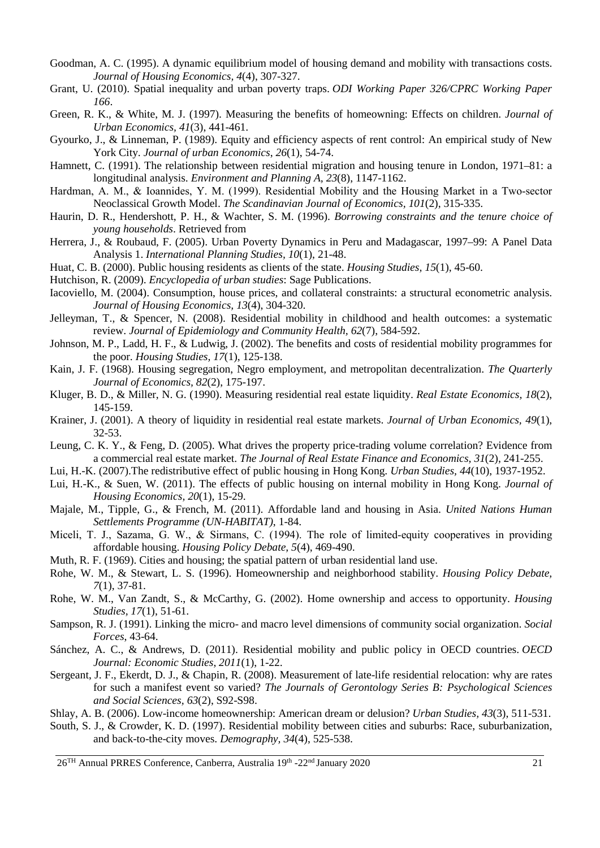- Goodman, A. C. (1995). A dynamic equilibrium model of housing demand and mobility with transactions costs. *Journal of Housing Economics, 4*(4), 307-327.
- Grant, U. (2010). Spatial inequality and urban poverty traps. *ODI Working Paper 326/CPRC Working Paper 166*.
- Green, R. K., & White, M. J. (1997). Measuring the benefits of homeowning: Effects on children. *Journal of Urban Economics, 41*(3), 441-461.
- Gyourko, J., & Linneman, P. (1989). Equity and efficiency aspects of rent control: An empirical study of New York City. *Journal of urban Economics*, *26*(1), 54-74.
- Hamnett, C. (1991). The relationship between residential migration and housing tenure in London, 1971–81: a longitudinal analysis. *Environment and Planning A, 23*(8), 1147-1162.
- Hardman, A. M., & Ioannides, Y. M. (1999). Residential Mobility and the Housing Market in a Two-sector Neoclassical Growth Model. *The Scandinavian Journal of Economics, 101*(2), 315-335.
- Haurin, D. R., Hendershott, P. H., & Wachter, S. M. (1996). *Borrowing constraints and the tenure choice of young households*. Retrieved from
- Herrera, J., & Roubaud, F. (2005). Urban Poverty Dynamics in Peru and Madagascar, 1997–99: A Panel Data Analysis 1. *International Planning Studies, 10*(1), 21-48.
- Huat, C. B. (2000). Public housing residents as clients of the state. *Housing Studies, 15*(1), 45-60.
- Hutchison, R. (2009). *Encyclopedia of urban studies*: Sage Publications.
- Iacoviello, M. (2004). Consumption, house prices, and collateral constraints: a structural econometric analysis. *Journal of Housing Economics, 13*(4), 304-320.
- Jelleyman, T., & Spencer, N. (2008). Residential mobility in childhood and health outcomes: a systematic review. *Journal of Epidemiology and Community Health, 62*(7), 584-592.
- Johnson, M. P., Ladd, H. F., & Ludwig, J. (2002). The benefits and costs of residential mobility programmes for the poor. *Housing Studies, 17*(1), 125-138.
- Kain, J. F. (1968). Housing segregation, Negro employment, and metropolitan decentralization. *The Quarterly Journal of Economics, 82*(2), 175-197.
- Kluger, B. D., & Miller, N. G. (1990). Measuring residential real estate liquidity. *Real Estate Economics, 18*(2), 145-159.
- Krainer, J. (2001). A theory of liquidity in residential real estate markets. *Journal of Urban Economics, 49*(1), 32-53.
- Leung, C. K. Y., & Feng, D. (2005). What drives the property price-trading volume correlation? Evidence from a commercial real estate market. *The Journal of Real Estate Finance and Economics, 31*(2), 241-255.
- Lui, H.-K. (2007).The redistributive effect of public housing in Hong Kong. *Urban Studies, 44*(10), 1937-1952.
- Lui, H.-K., & Suen, W. (2011). The effects of public housing on internal mobility in Hong Kong. *Journal of Housing Economics, 20*(1), 15-29.
- Majale, M., Tipple, G., & French, M. (2011). Affordable land and housing in Asia. *United Nations Human Settlements Programme (UN-HABITAT)*, 1-84.
- Miceli, T. J., Sazama, G. W., & Sirmans, C. (1994). The role of limited-equity cooperatives in providing affordable housing. *Housing Policy Debate, 5*(4), 469-490.
- Muth, R. F. (1969). Cities and housing; the spatial pattern of urban residential land use.
- Rohe, W. M., & Stewart, L. S. (1996). Homeownership and neighborhood stability. *Housing Policy Debate, 7*(1), 37-81.
- Rohe, W. M., Van Zandt, S., & McCarthy, G. (2002). Home ownership and access to opportunity. *Housing Studies, 17*(1), 51-61.
- Sampson, R. J. (1991). Linking the micro- and macro level dimensions of community social organization. *Social Forces*, 43-64.
- Sánchez, A. C., & Andrews, D. (2011). Residential mobility and public policy in OECD countries. *OECD Journal: Economic Studies*, *2011*(1), 1-22.
- Sergeant, J. F., Ekerdt, D. J., & Chapin, R. (2008). Measurement of late-life residential relocation: why are rates for such a manifest event so varied? *The Journals of Gerontology Series B: Psychological Sciences and Social Sciences, 63*(2), S92-S98.
- Shlay, A. B. (2006). Low-income homeownership: American dream or delusion? *Urban Studies, 43*(3), 511-531.
- South, S. J., & Crowder, K. D. (1997). Residential mobility between cities and suburbs: Race, suburbanization, and back-to-the-city moves. *Demography, 34*(4), 525-538.

 $26<sup>TH</sup>$  Annual PRRES Conference, Canberra, Australia 19<sup>th</sup> -22<sup>nd</sup> January 2020 21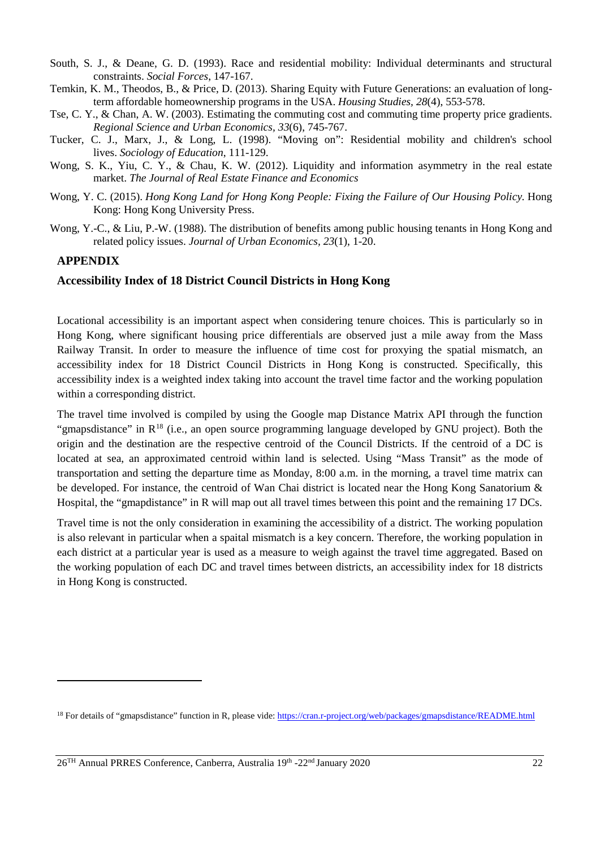- South, S. J., & Deane, G. D. (1993). Race and residential mobility: Individual determinants and structural constraints. *Social Forces*, 147-167.
- Temkin, K. M., Theodos, B., & Price, D. (2013). Sharing Equity with Future Generations: an evaluation of longterm affordable homeownership programs in the USA. *Housing Studies, 28*(4), 553-578.
- Tse, C. Y., & Chan, A. W. (2003). Estimating the commuting cost and commuting time property price gradients. *Regional Science and Urban Economics, 33*(6), 745-767.
- Tucker, C. J., Marx, J., & Long, L. (1998). "Moving on": Residential mobility and children's school lives. *Sociology of Education*, 111-129.
- Wong, S. K., Yiu, C. Y., & Chau, K. W. (2012). Liquidity and information asymmetry in the real estate market. *The Journal of Real Estate Finance and Economics*
- Wong, Y. C. (2015). *Hong Kong Land for Hong Kong People: Fixing the Failure of Our Housing Policy.* Hong Kong: Hong Kong University Press.
- Wong, Y.-C., & Liu, P.-W. (1988). The distribution of benefits among public housing tenants in Hong Kong and related policy issues. *Journal of Urban Economics, 23*(1), 1-20.

### **APPENDIX**

-

## **Accessibility Index of 18 District Council Districts in Hong Kong**

Locational accessibility is an important aspect when considering tenure choices. This is particularly so in Hong Kong, where significant housing price differentials are observed just a mile away from the Mass Railway Transit. In order to measure the influence of time cost for proxying the spatial mismatch, an accessibility index for 18 District Council Districts in Hong Kong is constructed. Specifically, this accessibility index is a weighted index taking into account the travel time factor and the working population within a corresponding district.

The travel time involved is compiled by using the Google map Distance Matrix API through the function "gmapsdistance" in  $R^{18}$  $R^{18}$  $R^{18}$  (i.e., an open source programming language developed by GNU project). Both the origin and the destination are the respective centroid of the Council Districts. If the centroid of a DC is located at sea, an approximated centroid within land is selected. Using "Mass Transit" as the mode of transportation and setting the departure time as Monday, 8:00 a.m. in the morning, a travel time matrix can be developed. For instance, the centroid of Wan Chai district is located near the Hong Kong Sanatorium & Hospital, the "gmapdistance" in R will map out all travel times between this point and the remaining 17 DCs.

Travel time is not the only consideration in examining the accessibility of a district. The working population is also relevant in particular when a spaital mismatch is a key concern. Therefore, the working population in each district at a particular year is used as a measure to weigh against the travel time aggregated. Based on the working population of each DC and travel times between districts, an accessibility index for 18 districts in Hong Kong is constructed.

<span id="page-21-0"></span><sup>&</sup>lt;sup>18</sup> For details of "gmapsdistance" function in R, please vide[: https://cran.r-project.org/web/packages/gmapsdistance/README.html](https://cran.r-project.org/web/packages/gmapsdistance/README.html)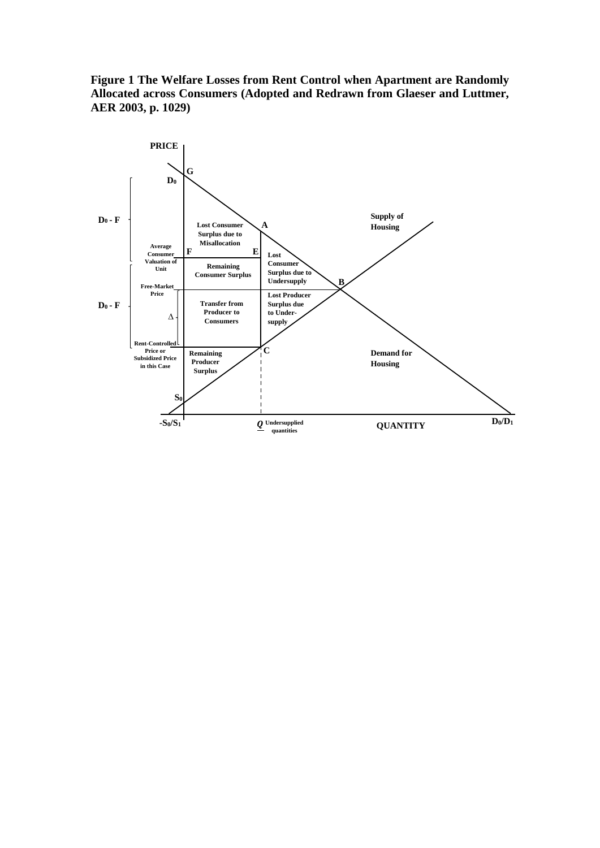**Figure 1 The Welfare Losses from Rent Control when Apartment are Randomly Allocated across Consumers (Adopted and Redrawn from Glaeser and Luttmer, AER 2003, p. 1029)**

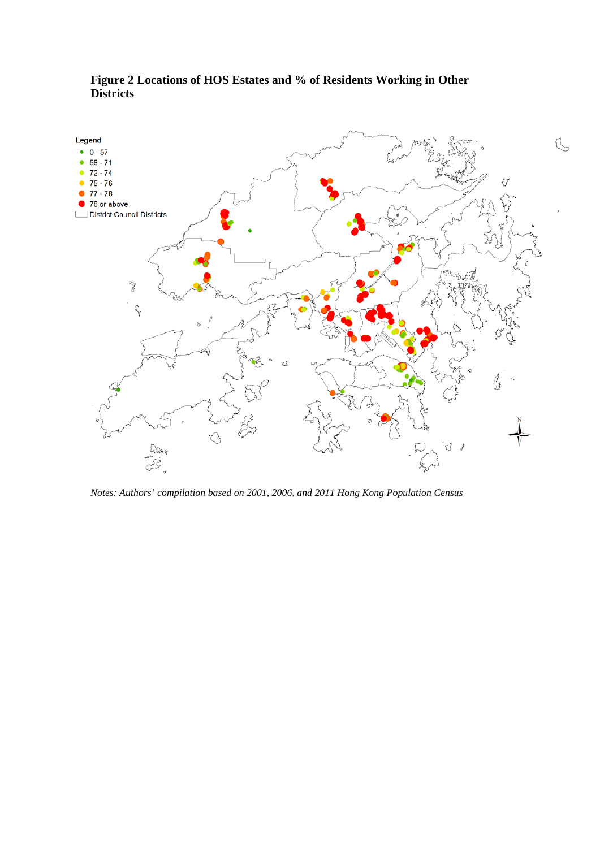

## **Figure 2 Locations of HOS Estates and % of Residents Working in Other Districts**

*Notes: Authors' compilation based on 2001, 2006, and 2011 Hong Kong Population Census*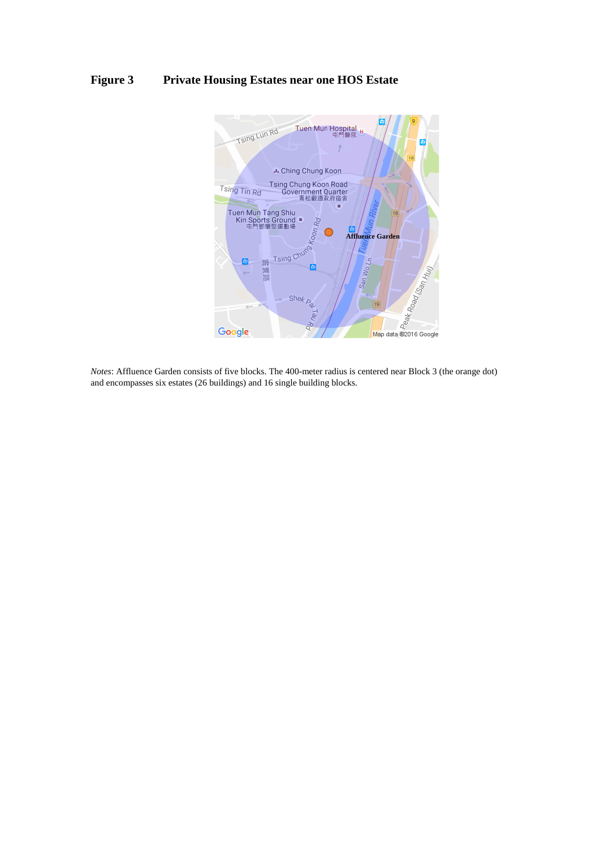## **Figure 3 Private Housing Estates near one HOS Estate**



*Notes*: Affluence Garden consists of five blocks. The 400-meter radius is centered near Block 3 (the orange dot) and encompasses six estates (26 buildings) and 16 single building blocks.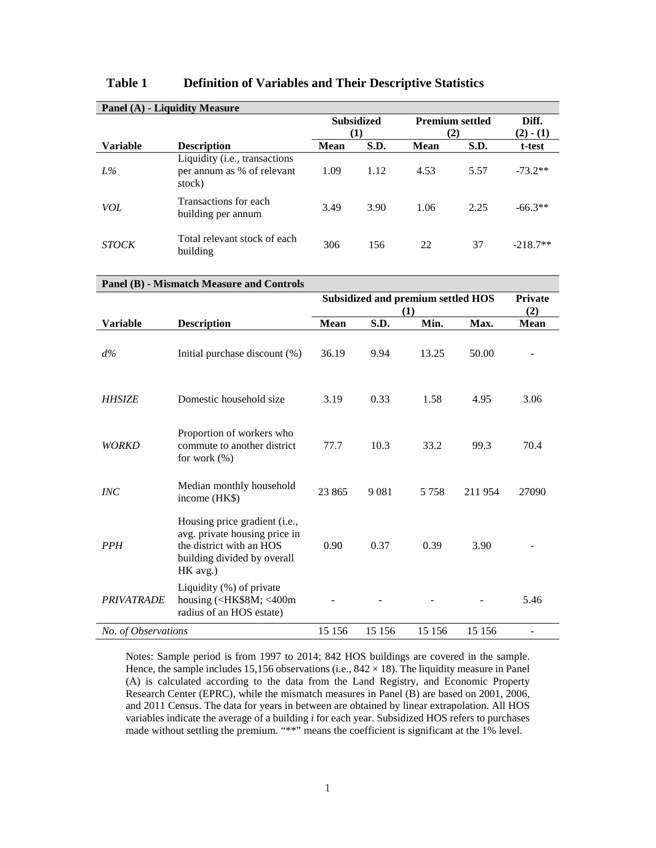| <b>Panel (A) - Liquidity Measure</b> |                                                                                                                                       |                                    |         |                        |         |                |
|--------------------------------------|---------------------------------------------------------------------------------------------------------------------------------------|------------------------------------|---------|------------------------|---------|----------------|
|                                      |                                                                                                                                       | <b>Subsidized</b>                  |         | <b>Premium settled</b> |         | Diff.          |
|                                      |                                                                                                                                       |                                    | (1)     |                        | (2)     | $(2) - (1)$    |
| Variable                             | <b>Description</b>                                                                                                                    | Mean                               | S.D.    | Mean                   | S.D.    | t-test         |
| L%                                   | Liquidity (i.e., transactions<br>per annum as % of relevant<br>stock)                                                                 | 1.09                               | 1.12    | 4.53                   | 5.57    | $-73.2**$      |
| <b>VOL</b>                           | Transactions for each<br>building per annum                                                                                           | 3.49                               | 3.90    | 1.06                   | 2.25    | $-66.3**$      |
| <b>STOCK</b>                         | Total relevant stock of each<br>building                                                                                              | 306                                | 156     | 22                     | 37      | $-218.7**$     |
|                                      | <b>Panel (B) - Mismatch Measure and Controls</b>                                                                                      |                                    |         |                        |         |                |
|                                      |                                                                                                                                       | Subsidized and premium settled HOS |         |                        |         | <b>Private</b> |
|                                      |                                                                                                                                       |                                    |         | (1)                    | (2)     |                |
| <b>Variable</b>                      | <b>Description</b>                                                                                                                    | Mean                               | S.D.    | Min.                   | Max.    | Mean           |
|                                      |                                                                                                                                       |                                    |         |                        |         |                |
| $d\%$                                | Initial purchase discount (%)                                                                                                         | 36.19                              | 9.94    | 13.25                  | 50.00   |                |
| <b>HHSIZE</b>                        | Domestic household size                                                                                                               | 3.19                               | 0.33    | 1.58                   | 4.95    | 3.06           |
| <i>WORKD</i>                         | Proportion of workers who<br>commute to another district<br>for work (%)                                                              | 77.7                               | 10.3    | 33.2                   | 99.3    | 70.4           |
| INC                                  | Median monthly household<br>income (HK\$)                                                                                             | 23 865                             | 9081    | 5 7 5 8                | 211954  | 27090          |
| <b>PPH</b>                           | Housing price gradient (i.e.,<br>avg. private housing price in<br>the district with an HOS<br>building divided by overall<br>HK avg.) | 0.90                               | 0.37    | 0.39                   | 3.90    |                |
| <b>PRIVATRADE</b>                    | Liquidity (%) of private<br>housing ( <hk\$8m; <400m<br="">radius of an HOS estate)</hk\$8m;>                                         |                                    |         |                        |         | 5.46           |
| No. of Observations                  |                                                                                                                                       | 15 15 6                            | 15 15 6 | 15 15 6                | 15 15 6 |                |

### **Table 1 Definition of Variables and Their Descriptive Statistics**

Notes: Sample period is from 1997 to 2014; 842 HOS buildings are covered in the sample. Hence, the sample includes 15,156 observations (i.e.,  $842 \times 18$ ). The liquidity measure in Panel (A) is calculated according to the data from the Land Registry, and Economic Property Research Center (EPRC), while the mismatch measures in Panel (B) are based on 2001, 2006, and 2011 Census. The data for years in between are obtained by linear extrapolation. All HOS variables indicate the average of a building *i* for each year. Subsidized HOS refers to purchases made without settling the premium. "\*\*" means the coefficient is significant at the 1% level.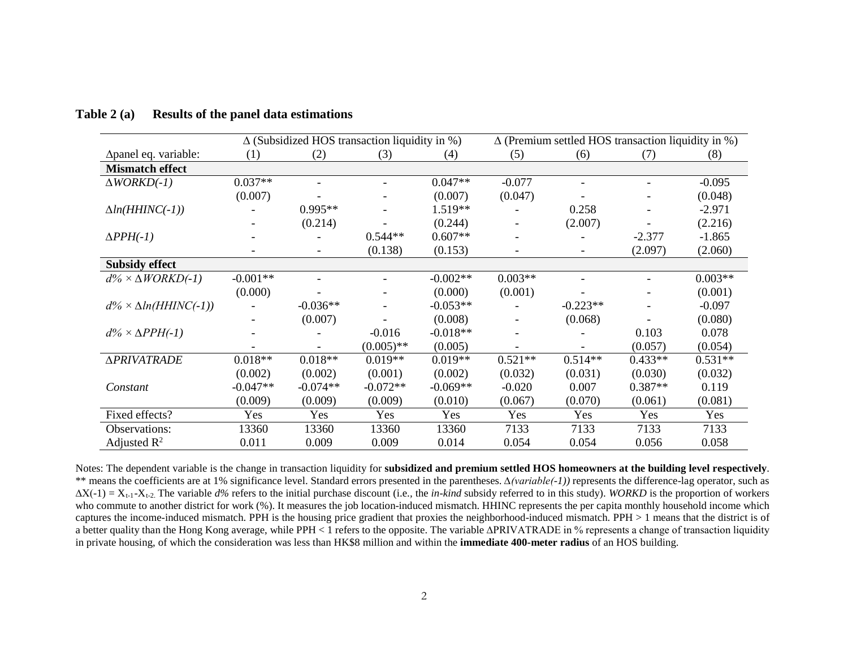|                                   | $\Delta$ (Subsidized HOS transaction liquidity in %) |                          |              | $\Delta$ (Premium settled HOS transaction liquidity in %) |           |                          |           |           |
|-----------------------------------|------------------------------------------------------|--------------------------|--------------|-----------------------------------------------------------|-----------|--------------------------|-----------|-----------|
| Δpanel eq. variable:              | (1)                                                  | (2)                      | (3)          | (4)                                                       | (5)       | (6)                      | (7)       | (8)       |
| <b>Mismatch effect</b>            |                                                      |                          |              |                                                           |           |                          |           |           |
| $\triangle WORKD(-1)$             | $0.037**$                                            |                          |              | $0.047**$                                                 | $-0.077$  |                          |           | $-0.095$  |
|                                   | (0.007)                                              |                          |              | (0.007)                                                   | (0.047)   |                          |           | (0.048)   |
| $\Delta ln(HHINC(-1))$            |                                                      | $0.995**$                |              | 1.519**                                                   |           | 0.258                    |           | $-2.971$  |
|                                   |                                                      | (0.214)                  |              | (0.244)                                                   |           | (2.007)                  |           | (2.216)   |
| $\Delta PPH(-1)$                  |                                                      |                          | $0.544**$    | $0.607**$                                                 |           |                          | $-2.377$  | $-1.865$  |
|                                   |                                                      | $\overline{\phantom{a}}$ | (0.138)      | (0.153)                                                   |           | $\overline{\phantom{a}}$ | (2.097)   | (2.060)   |
| <b>Subsidy effect</b>             |                                                      |                          |              |                                                           |           |                          |           |           |
| $d\% \times \Delta WORKD(-1)$     | $-0.001**$                                           |                          |              | $-0.002**$                                                | $0.003**$ |                          |           | $0.003**$ |
|                                   | (0.000)                                              |                          |              | (0.000)                                                   | (0.001)   |                          |           | (0.001)   |
| $d\% \times \Delta ln(HHINC(-1))$ |                                                      | $-0.036**$               |              | $-0.053**$                                                |           | $-0.223**$               |           | $-0.097$  |
|                                   |                                                      | (0.007)                  |              | (0.008)                                                   |           | (0.068)                  |           | (0.080)   |
| $d\% \times \Delta PPH(-1)$       |                                                      |                          | $-0.016$     | $-0.018**$                                                |           |                          | 0.103     | 0.078     |
|                                   |                                                      |                          | $(0.005)$ ** | (0.005)                                                   |           |                          | (0.057)   | (0.054)   |
| <b>APRIVATRADE</b>                | $0.018**$                                            | $0.018**$                | $0.019**$    | $0.019**$                                                 | $0.521**$ | $0.514**$                | $0.433**$ | $0.531**$ |
|                                   | (0.002)                                              | (0.002)                  | (0.001)      | (0.002)                                                   | (0.032)   | (0.031)                  | (0.030)   | (0.032)   |
| Constant                          | $-0.047**$                                           | $-0.074**$               | $-0.072**$   | $-0.069**$                                                | $-0.020$  | 0.007                    | $0.387**$ | 0.119     |
|                                   | (0.009)                                              | (0.009)                  | (0.009)      | (0.010)                                                   | (0.067)   | (0.070)                  | (0.061)   | (0.081)   |
| Fixed effects?                    | Yes                                                  | Yes                      | Yes          | Yes                                                       | Yes       | Yes                      | Yes       | Yes       |
| Observations:                     | 13360                                                | 13360                    | 13360        | 13360                                                     | 7133      | 7133                     | 7133      | 7133      |
| Adjusted $\mathbb{R}^2$           | 0.011                                                | 0.009                    | 0.009        | 0.014                                                     | 0.054     | 0.054                    | 0.056     | 0.058     |

#### **Table 2 (a) Results of the panel data estimations**

Notes: The dependent variable is the change in transaction liquidity for **subsidized and premium settled HOS homeowners at the building level respectively**. \*\* means the coefficients are at 1% significance level. Standard errors presented in the parentheses. *∆(variable(-1))* represents the difference-lag operator, such as ∆X(-1) = Xt-1-Xt-2. The variable *d%* refers to the initial purchase discount (i.e.*,* the *in-kind* subsidy referred to in this study). *WORKD* is the proportion of workers who commute to another district for work (%). It measures the job location-induced mismatch. HHINC represents the per capita monthly household income which captures the income-induced mismatch. PPH is the housing price gradient that proxies the neighborhood-induced mismatch. PPH > 1 means that the district is of a better quality than the Hong Kong average, while PPH < 1 refers to the opposite. The variable ∆PRIVATRADE in % represents a change of transaction liquidity in private housing, of which the consideration was less than HK\$8 million and within the **immediate 400-meter radius** of an HOS building.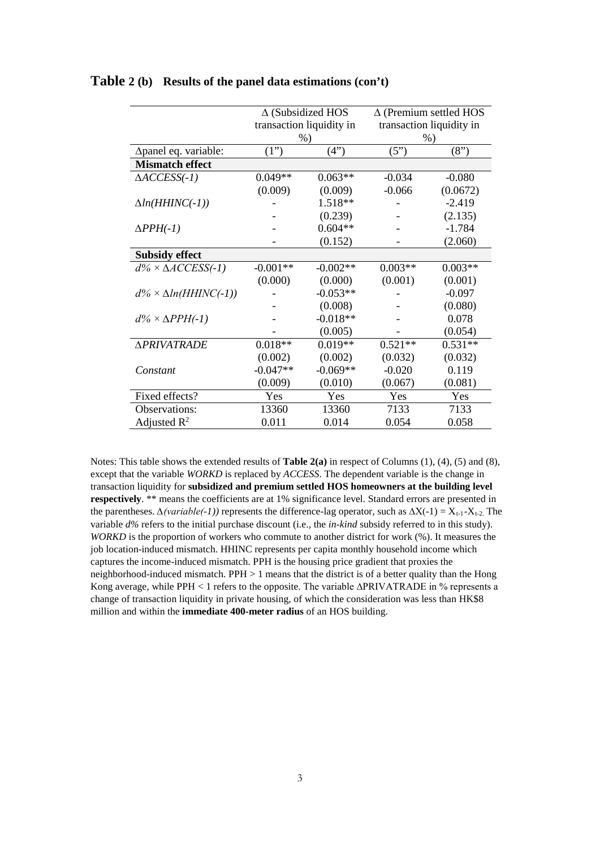|                                   | $\Delta$ (Subsidized HOS |            | $\Delta$ (Premium settled HOS |                          |  |
|-----------------------------------|--------------------------|------------|-------------------------------|--------------------------|--|
|                                   | transaction liquidity in |            |                               | transaction liquidity in |  |
|                                   | $%$ )                    |            |                               | $%$ )                    |  |
| ∆panel eq. variable:              | (1")                     | (4")       | (5")                          | (8")                     |  |
| <b>Mismatch effect</b>            |                          |            |                               |                          |  |
| $\triangle$ ACCESS(-1)            | $0.049**$                | $0.063**$  | $-0.034$                      | $-0.080$                 |  |
|                                   | (0.009)                  | (0.009)    | $-0.066$                      | (0.0672)                 |  |
| $\Delta ln(HHINC(-1))$            |                          | 1.518**    |                               | $-2.419$                 |  |
|                                   |                          | (0.239)    |                               | (2.135)                  |  |
| $\Delta PPH(-1)$                  |                          | $0.604**$  |                               | $-1.784$                 |  |
|                                   |                          | (0.152)    |                               | (2.060)                  |  |
| <b>Subsidy effect</b>             |                          |            |                               |                          |  |
| $d\% \times \triangle$ ACCESS(-1) | $-0.001**$               | $-0.002**$ | $0.003**$                     | $0.003**$                |  |
|                                   | (0.000)                  | (0.000)    | (0.001)                       | (0.001)                  |  |
| $d\% \times \Delta ln(HHINC(-1))$ |                          | $-0.053**$ |                               | $-0.097$                 |  |
|                                   |                          | (0.008)    |                               | (0.080)                  |  |
| $d\% \times \Delta PPH(-1)$       |                          | $-0.018**$ |                               | 0.078                    |  |
|                                   |                          | (0.005)    |                               | (0.054)                  |  |
| <b>APRIVATRADE</b>                | $0.018**$                | $0.019**$  | $0.521**$                     | $0.531**$                |  |
|                                   | (0.002)                  | (0.002)    | (0.032)                       | (0.032)                  |  |
| Constant                          | $-0.047**$               | $-0.069**$ | $-0.020$                      | 0.119                    |  |
|                                   | (0.009)                  | (0.010)    | (0.067)                       | (0.081)                  |  |
| Fixed effects?                    | Yes                      | Yes        | Yes                           | Yes                      |  |
| Observations:                     | 13360                    | 13360      | 7133                          | 7133                     |  |
| Adjusted $R^2$                    | 0.011                    | 0.014      | 0.054                         | 0.058                    |  |

#### **Table 2 (b) Results of the panel data estimations (con't)**

Notes: This table shows the extended results of **Table 2(a)** in respect of Columns (1), (4), (5) and (8), except that the variable *WORKD* is replaced by *ACCESS*. The dependent variable is the change in transaction liquidity for **subsidized and premium settled HOS homeowners at the building level respectively**. \*\* means the coefficients are at 1% significance level. Standard errors are presented in the parentheses.  $\Delta$ (variable( $\text{-}1$ )) represents the difference-lag operator, such as  $\Delta X(\text{-}1) = X_{t-1} - X_{t-2}$ . The variable *d%* refers to the initial purchase discount (i.e.*,* the *in-kind* subsidy referred to in this study). *WORKD* is the proportion of workers who commute to another district for work (%). It measures the job location-induced mismatch. HHINC represents per capita monthly household income which captures the income-induced mismatch. PPH is the housing price gradient that proxies the neighborhood-induced mismatch. PPH > 1 means that the district is of a better quality than the Hong Kong average, while PPH < 1 refers to the opposite. The variable ∆PRIVATRADE in % represents a change of transaction liquidity in private housing, of which the consideration was less than HK\$8 million and within the **immediate 400-meter radius** of an HOS building.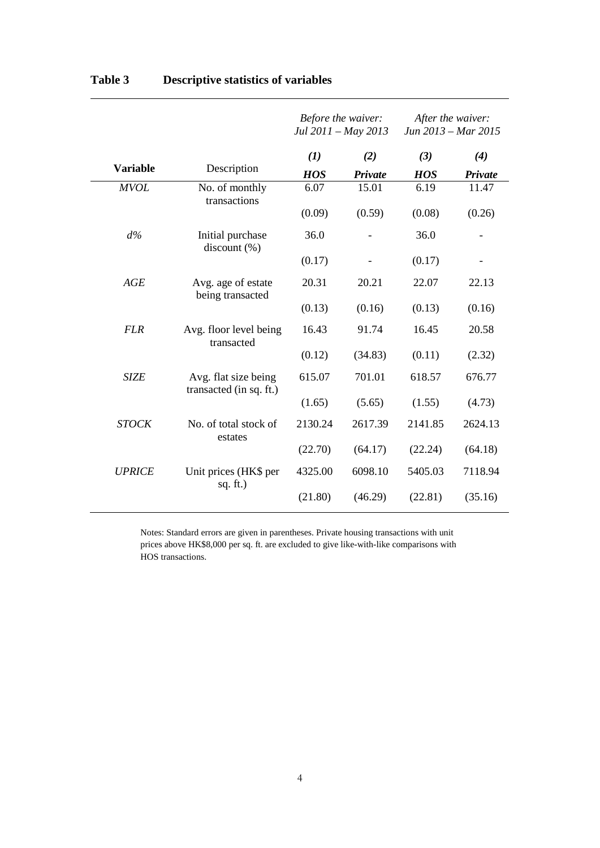|                 |                                                 | Before the waiver:<br>Jul 2011 - May 2013 |         | After the waiver:<br>Jun 2013 – Mar 2015 |         |
|-----------------|-------------------------------------------------|-------------------------------------------|---------|------------------------------------------|---------|
|                 |                                                 | (1)                                       | (2)     | (3)                                      | (4)     |
| <b>Variable</b> | Description                                     | <b>HOS</b>                                | Private | <b>HOS</b>                               | Private |
| <b>MVOL</b>     | No. of monthly<br>transactions                  | 6.07                                      | 15.01   | 6.19                                     | 11.47   |
|                 |                                                 | (0.09)                                    | (0.59)  | (0.08)                                   | (0.26)  |
| $d\%$           | Initial purchase<br>discount $(\% )$            | 36.0                                      |         | 36.0                                     |         |
|                 |                                                 | (0.17)                                    |         | (0.17)                                   |         |
| AGE             | Avg. age of estate<br>being transacted          | 20.31                                     | 20.21   | 22.07                                    | 22.13   |
|                 |                                                 | (0.13)                                    | (0.16)  | (0.13)                                   | (0.16)  |
| <b>FLR</b>      | Avg. floor level being<br>transacted            | 16.43                                     | 91.74   | 16.45                                    | 20.58   |
|                 |                                                 | (0.12)                                    | (34.83) | (0.11)                                   | (2.32)  |
| <b>SIZE</b>     | Avg. flat size being<br>transacted (in sq. ft.) | 615.07                                    | 701.01  | 618.57                                   | 676.77  |
|                 |                                                 | (1.65)                                    | (5.65)  | (1.55)                                   | (4.73)  |
| <b>STOCK</b>    | No. of total stock of<br>estates                | 2130.24                                   | 2617.39 | 2141.85                                  | 2624.13 |
|                 |                                                 | (22.70)                                   | (64.17) | (22.24)                                  | (64.18) |
| <b>UPRICE</b>   | Unit prices (HK\$ per<br>sq. $ft.$ )            | 4325.00                                   | 6098.10 | 5405.03                                  | 7118.94 |
|                 |                                                 | (21.80)                                   | (46.29) | (22.81)                                  | (35.16) |

# **Table 3 Descriptive statistics of variables**

Notes: Standard errors are given in parentheses. Private housing transactions with unit prices above HK\$8,000 per sq. ft. are excluded to give like-with-like comparisons with HOS transactions.